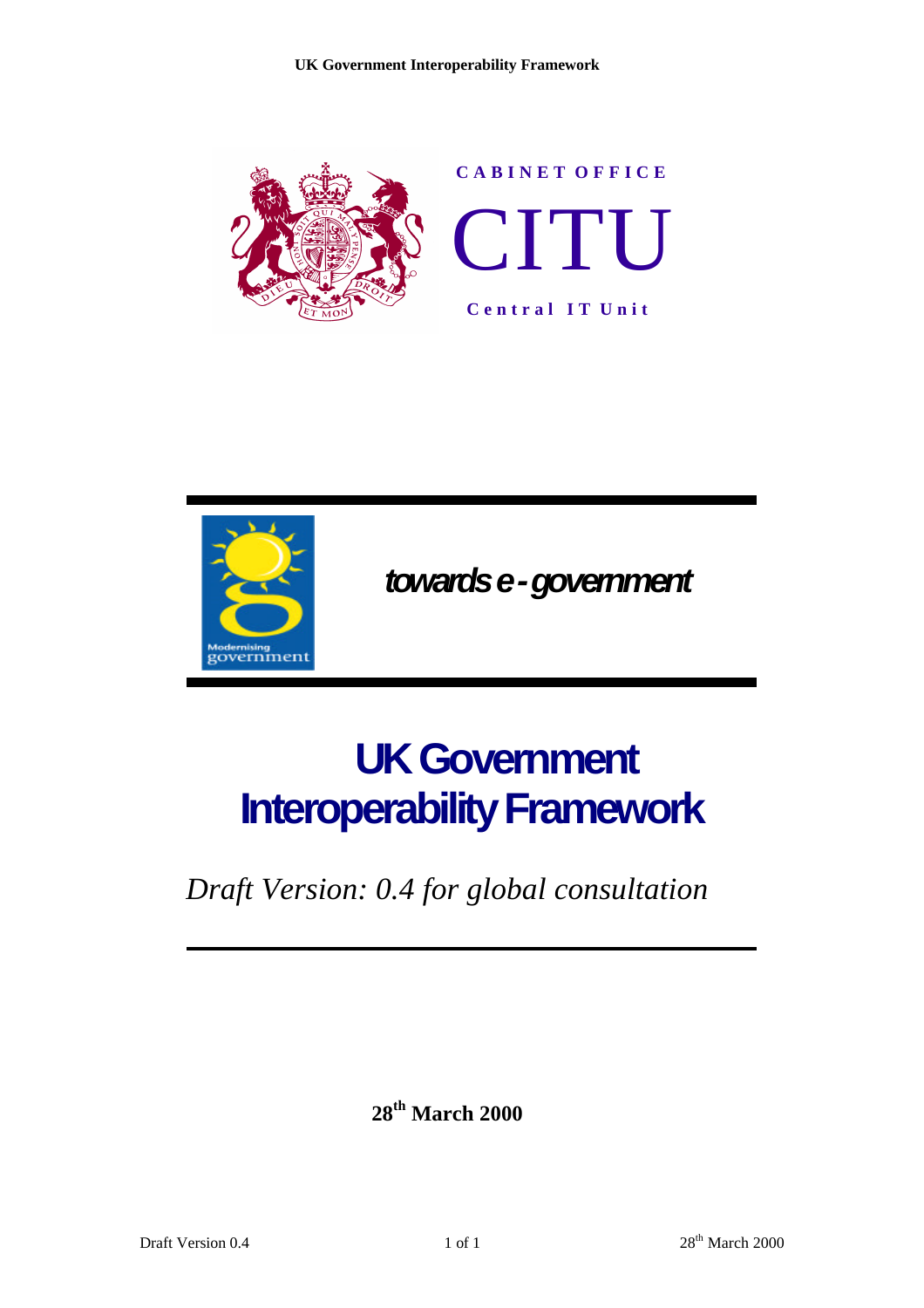



 *towards e - government*

# **UK Government Interoperability Framework**

*Draft Version: 0.4 for global consultation*

**28 th March 2000**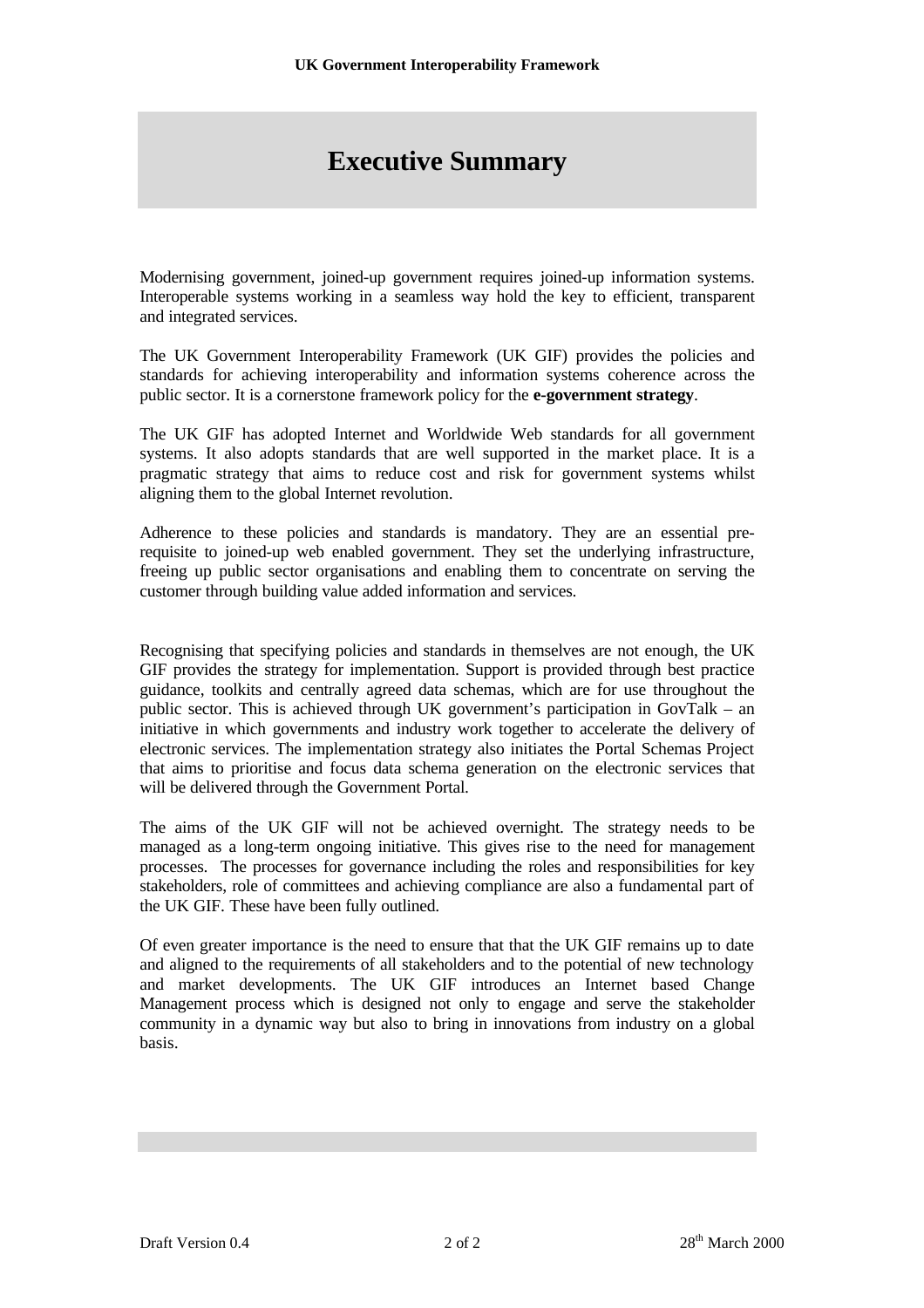## **Executive Summary**

Modernising government, joined-up government requires joined-up information systems. Interoperable systems working in a seamless way hold the key to efficient, transparent and integrated services.

The UK Government Interoperability Framework (UK GIF) provides the policies and standards for achieving interoperability and information systems coherence across the public sector. It is a cornerstone framework policy for the **e-government strategy**.

The UK GIF has adopted Internet and Worldwide Web standards for all government systems. It also adopts standards that are well supported in the market place. It is a pragmatic strategy that aims to reduce cost and risk for government systems whilst aligning them to the global Internet revolution.

Adherence to these policies and standards is mandatory. They are an essential prerequisite to joined-up web enabled government. They set the underlying infrastructure, freeing up public sector organisations and enabling them to concentrate on serving the customer through building value added information and services.

Recognising that specifying policies and standards in themselves are not enough, the UK GIF provides the strategy for implementation. Support is provided through best practice guidance, toolkits and centrally agreed data schemas, which are for use throughout the public sector. This is achieved through UK government's participation in GovTalk – an initiative in which governments and industry work together to accelerate the delivery of electronic services. The implementation strategy also initiates the Portal Schemas Project that aims to prioritise and focus data schema generation on the electronic services that will be delivered through the Government Portal.

The aims of the UK GIF will not be achieved overnight. The strategy needs to be managed as a long-term ongoing initiative. This gives rise to the need for management processes. The processes for governance including the roles and responsibilities for key stakeholders, role of committees and achieving compliance are also a fundamental part of the UK GIF. These have been fully outlined.

Of even greater importance is the need to ensure that that the UK GIF remains up to date and aligned to the requirements of all stakeholders and to the potential of new technology and market developments. The UK GIF introduces an Internet based Change Management process which is designed not only to engage and serve the stakeholder community in a dynamic way but also to bring in innovations from industry on a global basis.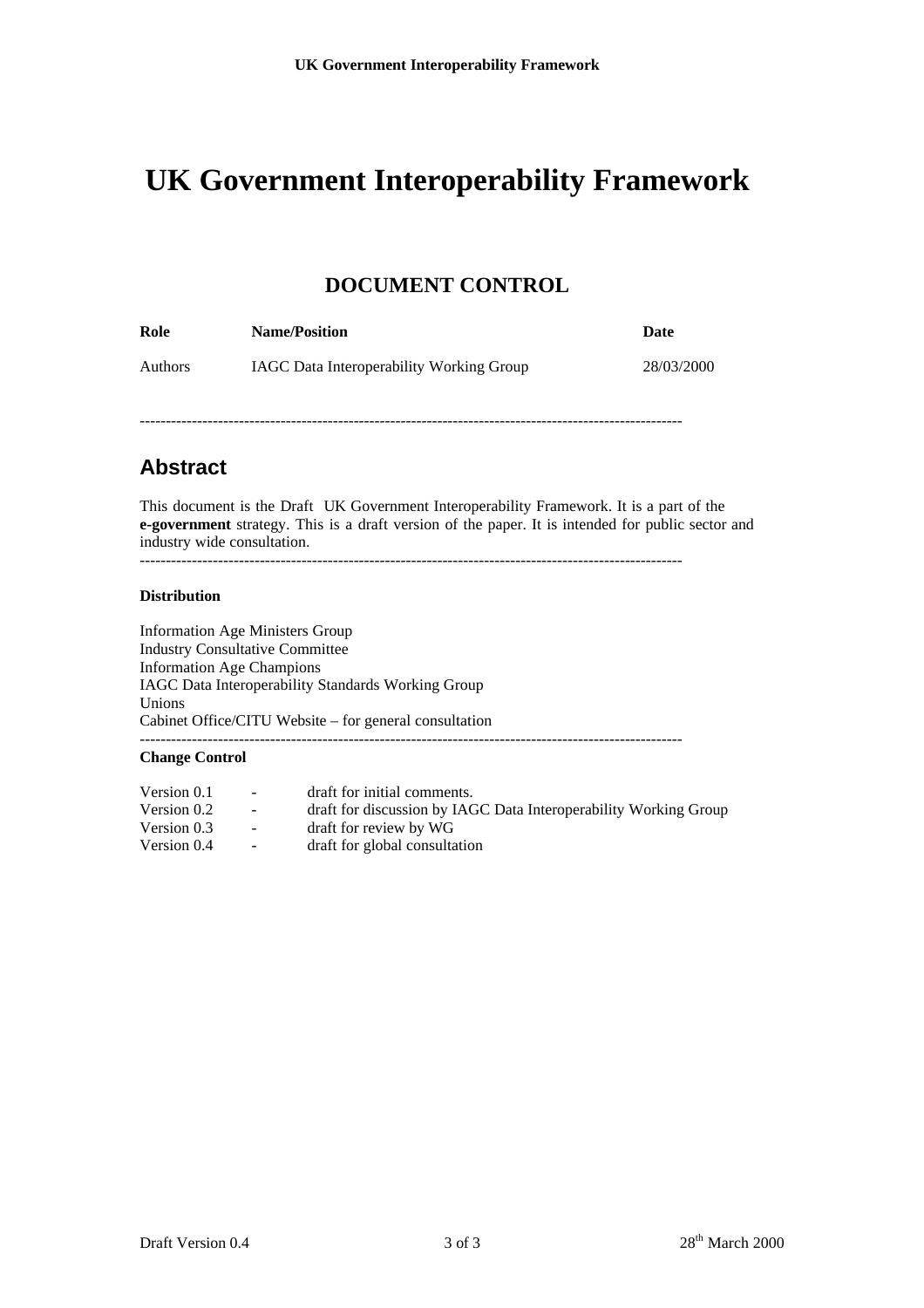### **DOCUMENT CONTROL**

| Role           | <b>Name/Position</b>                            | Date       |
|----------------|-------------------------------------------------|------------|
| <b>Authors</b> | <b>IAGC</b> Data Interoperability Working Group | 28/03/2000 |

--------------------------------------------------------------------------------------------------------

### **Abstract**

This document is the Draft UK Government Interoperability Framework. It is a part of the **e-government** strategy. This is a draft version of the paper. It is intended for public sector and industry wide consultation.

#### --------------------------------------------------------------------------------------------------------

#### **Distribution**

Information Age Ministers Group Industry Consultative Committee Information Age Champions IAGC Data Interoperability Standards Working Group Unions Cabinet Office/CITU Website – for general consultation -------------------------------------------------------------------------------------------------------- **Change Control**

| Version 0.1 | <b>Service</b>   | draft for initial comments.                                      |
|-------------|------------------|------------------------------------------------------------------|
| Version 0.2 | $\sim 100$       | draft for discussion by IAGC Data Interoperability Working Group |
| Version 0.3 | $\sim$ 100 $\mu$ | draft for review by WG                                           |
| Version 0.4 | $\sim 100$       | draft for global consultation                                    |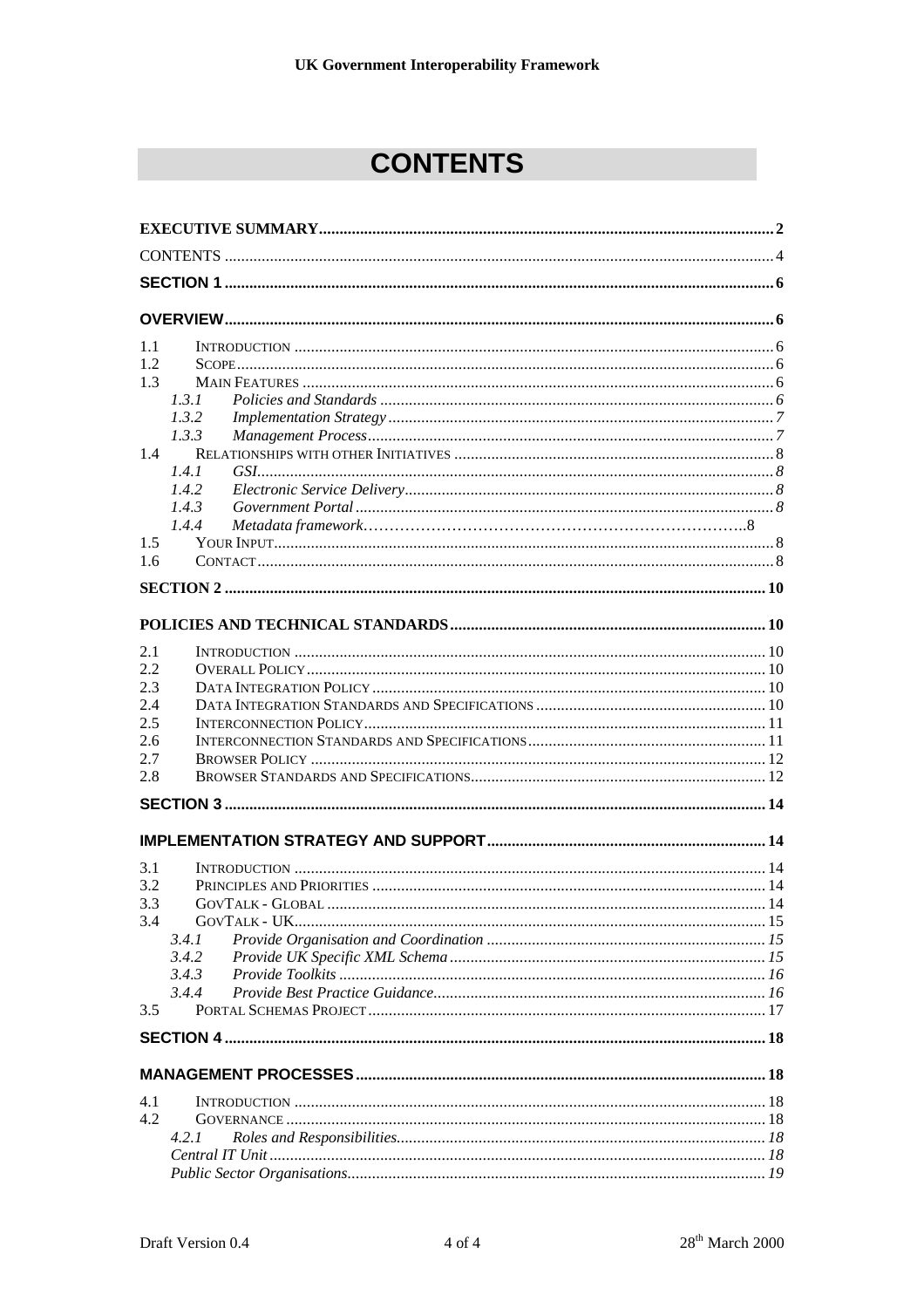## **CONTENTS**

| 1.1           |       |  |
|---------------|-------|--|
| 1.2           |       |  |
| 1.3           |       |  |
|               | 1.3.1 |  |
|               | 1.3.2 |  |
|               | 1.3.3 |  |
| $1.4^{\circ}$ |       |  |
|               | 1.4.1 |  |
|               | 1.4.2 |  |
|               | 1.4.3 |  |
|               | 1.4.4 |  |
| 1.5           |       |  |
| 1.6           |       |  |
|               |       |  |
|               |       |  |
|               |       |  |
|               |       |  |
| 2.1           |       |  |
| 2.2           |       |  |
| 2.3           |       |  |
| 2.4           |       |  |
| 2.5           |       |  |
| 2.6           |       |  |
| 2.7           |       |  |
| 2.8           |       |  |
|               |       |  |
|               |       |  |
| 3.1           |       |  |
| 3.2           |       |  |
| 3.3           |       |  |
| 3.4           |       |  |
|               | 3.4.1 |  |
|               | 3.4.2 |  |
|               | 3.4.3 |  |
|               | 3.4.4 |  |
| 3.5           |       |  |
|               |       |  |
|               |       |  |
|               |       |  |
| 4.1           |       |  |
| 4.2           |       |  |
|               | 4.2.1 |  |
|               |       |  |
|               |       |  |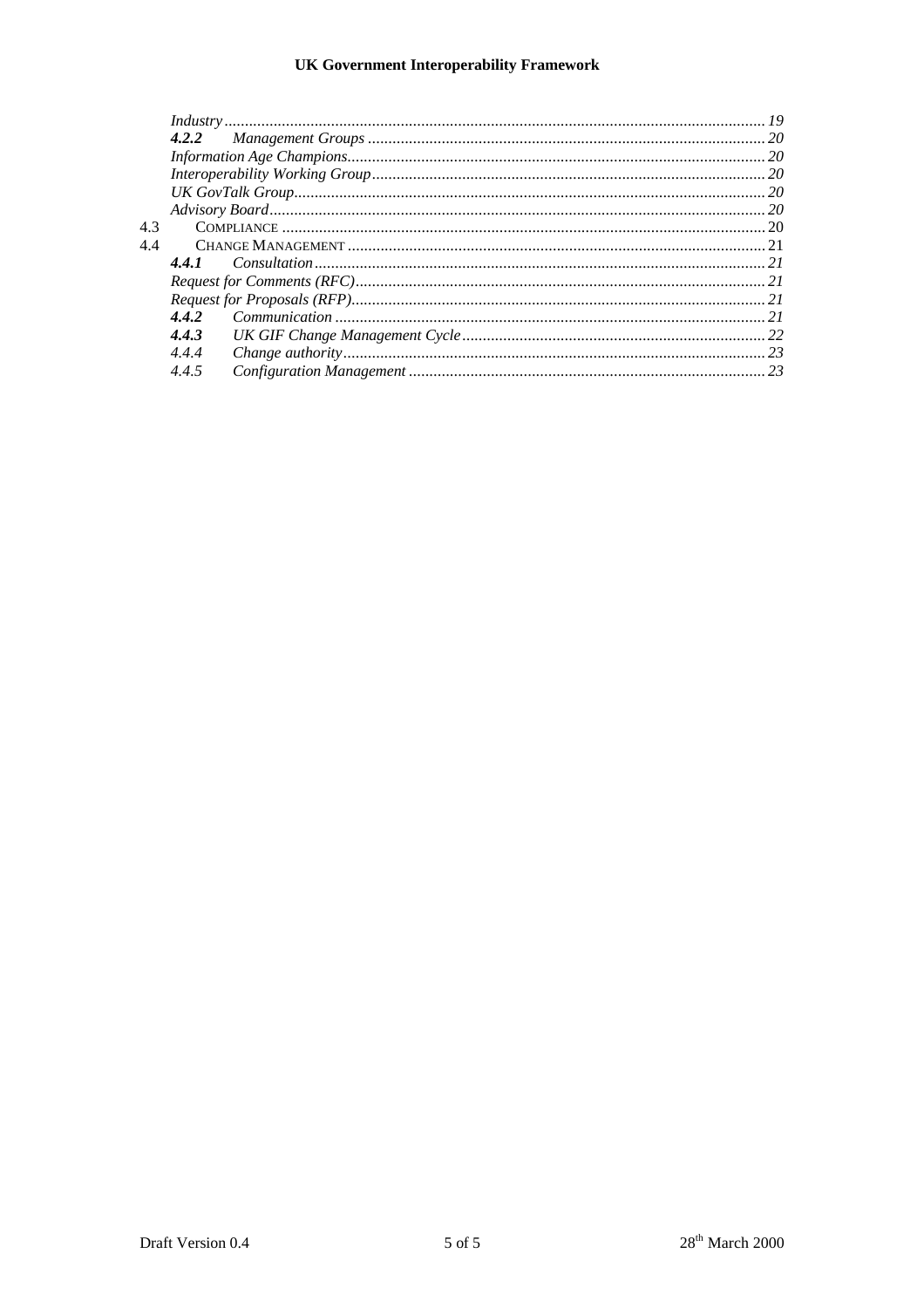| 4.3 |       |  |  |
|-----|-------|--|--|
| 4.4 |       |  |  |
|     |       |  |  |
|     |       |  |  |
|     |       |  |  |
|     | 4.4.2 |  |  |
|     | 4.4.3 |  |  |
|     | 4.4.4 |  |  |
|     | 4.4.5 |  |  |
|     |       |  |  |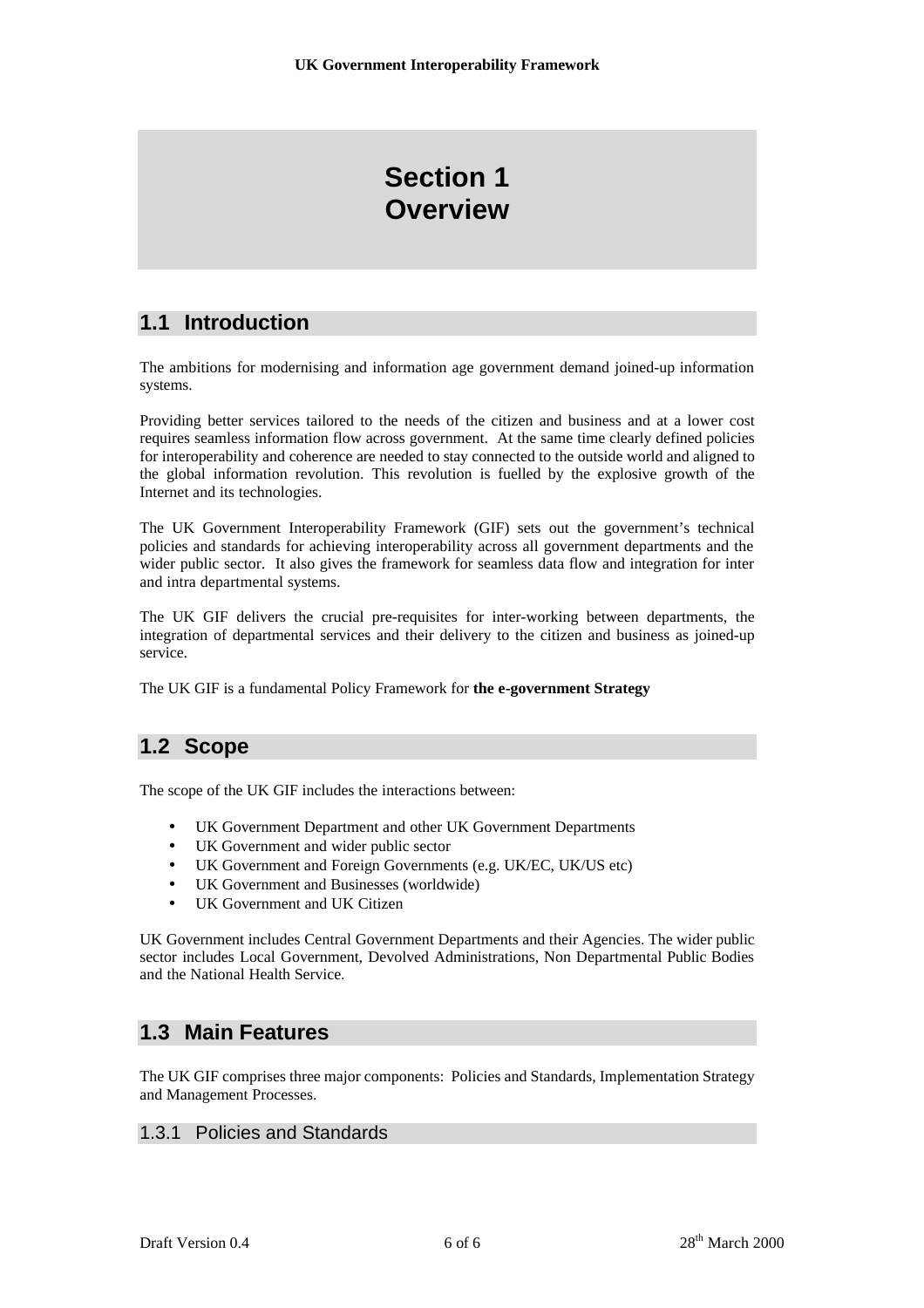## **Section 1 Overview**

### **1.1 Introduction**

The ambitions for modernising and information age government demand joined-up information systems.

Providing better services tailored to the needs of the citizen and business and at a lower cost requires seamless information flow across government. At the same time clearly defined policies for interoperability and coherence are needed to stay connected to the outside world and aligned to the global information revolution. This revolution is fuelled by the explosive growth of the Internet and its technologies.

The UK Government Interoperability Framework (GIF) sets out the government's technical policies and standards for achieving interoperability across all government departments and the wider public sector. It also gives the framework for seamless data flow and integration for inter and intra departmental systems.

The UK GIF delivers the crucial pre-requisites for inter-working between departments, the integration of departmental services and their delivery to the citizen and business as joined-up service.

The UK GIF is a fundamental Policy Framework for **the e-government Strategy**

### **1.2 Scope**

The scope of the UK GIF includes the interactions between:

- UK Government Department and other UK Government Departments
- UK Government and wider public sector
- UK Government and Foreign Governments (e.g. UK/EC, UK/US etc)
- UK Government and Businesses (worldwide)
- UK Government and UK Citizen

UK Government includes Central Government Departments and their Agencies. The wider public sector includes Local Government, Devolved Administrations, Non Departmental Public Bodies and the National Health Service.

### **1.3 Main Features**

The UK GIF comprises three major components: Policies and Standards, Implementation Strategy and Management Processes.

#### 1.3.1 Policies and Standards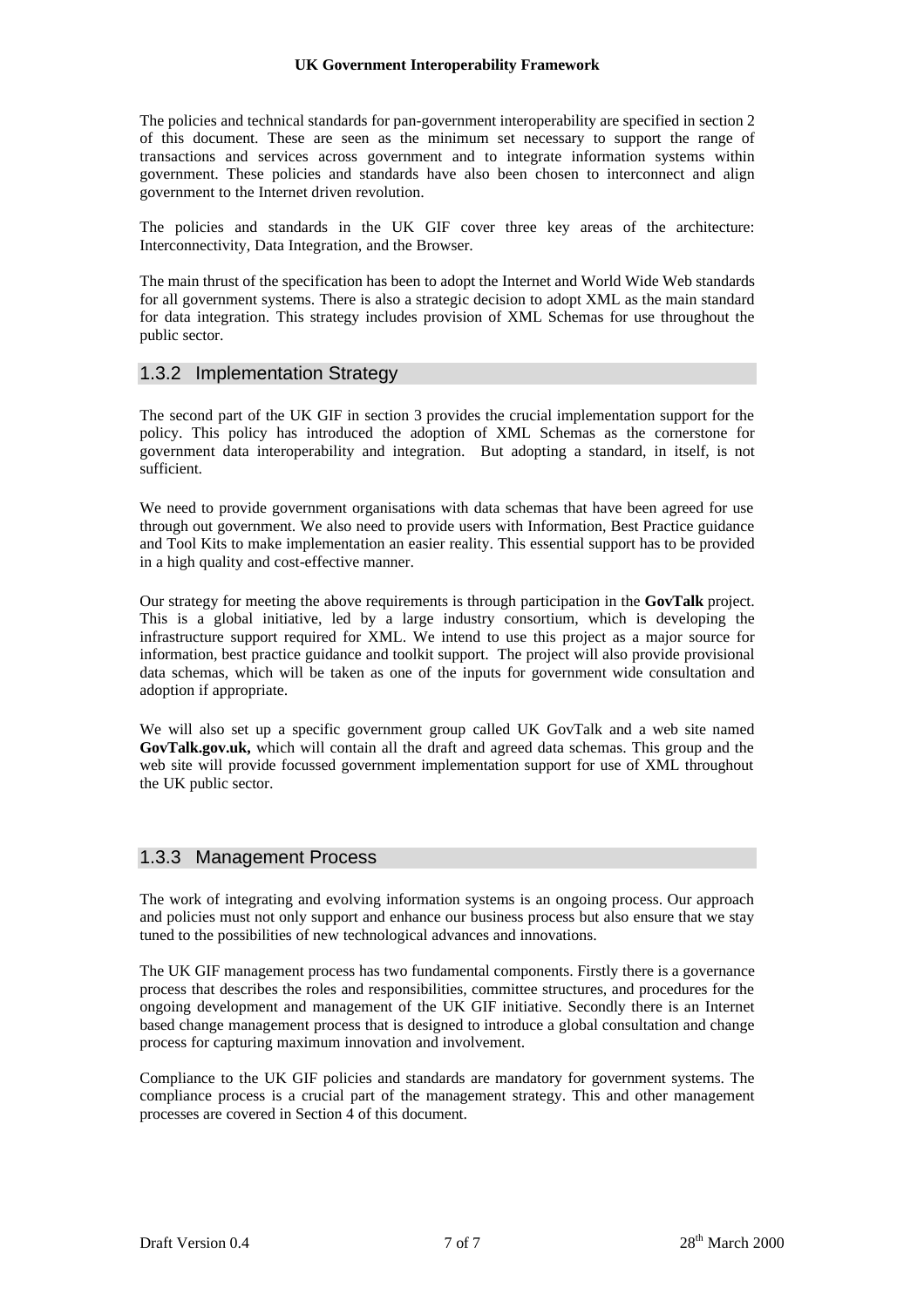The policies and technical standards for pan-government interoperability are specified in section 2 of this document. These are seen as the minimum set necessary to support the range of transactions and services across government and to integrate information systems within government. These policies and standards have also been chosen to interconnect and align government to the Internet driven revolution.

The policies and standards in the UK GIF cover three key areas of the architecture: Interconnectivity, Data Integration, and the Browser.

The main thrust of the specification has been to adopt the Internet and World Wide Web standards for all government systems. There is also a strategic decision to adopt XML as the main standard for data integration. This strategy includes provision of XML Schemas for use throughout the public sector.

### 1.3.2 Implementation Strategy

The second part of the UK GIF in section 3 provides the crucial implementation support for the policy. This policy has introduced the adoption of XML Schemas as the cornerstone for government data interoperability and integration. But adopting a standard, in itself, is not sufficient.

We need to provide government organisations with data schemas that have been agreed for use through out government. We also need to provide users with Information, Best Practice guidance and Tool Kits to make implementation an easier reality. This essential support has to be provided in a high quality and cost-effective manner.

Our strategy for meeting the above requirements is through participation in the **GovTalk** project. This is a global initiative, led by a large industry consortium, which is developing the infrastructure support required for XML. We intend to use this project as a major source for information, best practice guidance and toolkit support. The project will also provide provisional data schemas, which will be taken as one of the inputs for government wide consultation and adoption if appropriate.

We will also set up a specific government group called UK GovTalk and a web site named **GovTalk.gov.uk,** which will contain all the draft and agreed data schemas. This group and the web site will provide focussed government implementation support for use of XML throughout the UK public sector.

#### 1.3.3 Management Process

The work of integrating and evolving information systems is an ongoing process. Our approach and policies must not only support and enhance our business process but also ensure that we stay tuned to the possibilities of new technological advances and innovations.

The UK GIF management process has two fundamental components. Firstly there is a governance process that describes the roles and responsibilities, committee structures, and procedures for the ongoing development and management of the UK GIF initiative. Secondly there is an Internet based change management process that is designed to introduce a global consultation and change process for capturing maximum innovation and involvement.

Compliance to the UK GIF policies and standards are mandatory for government systems. The compliance process is a crucial part of the management strategy. This and other management processes are covered in Section 4 of this document.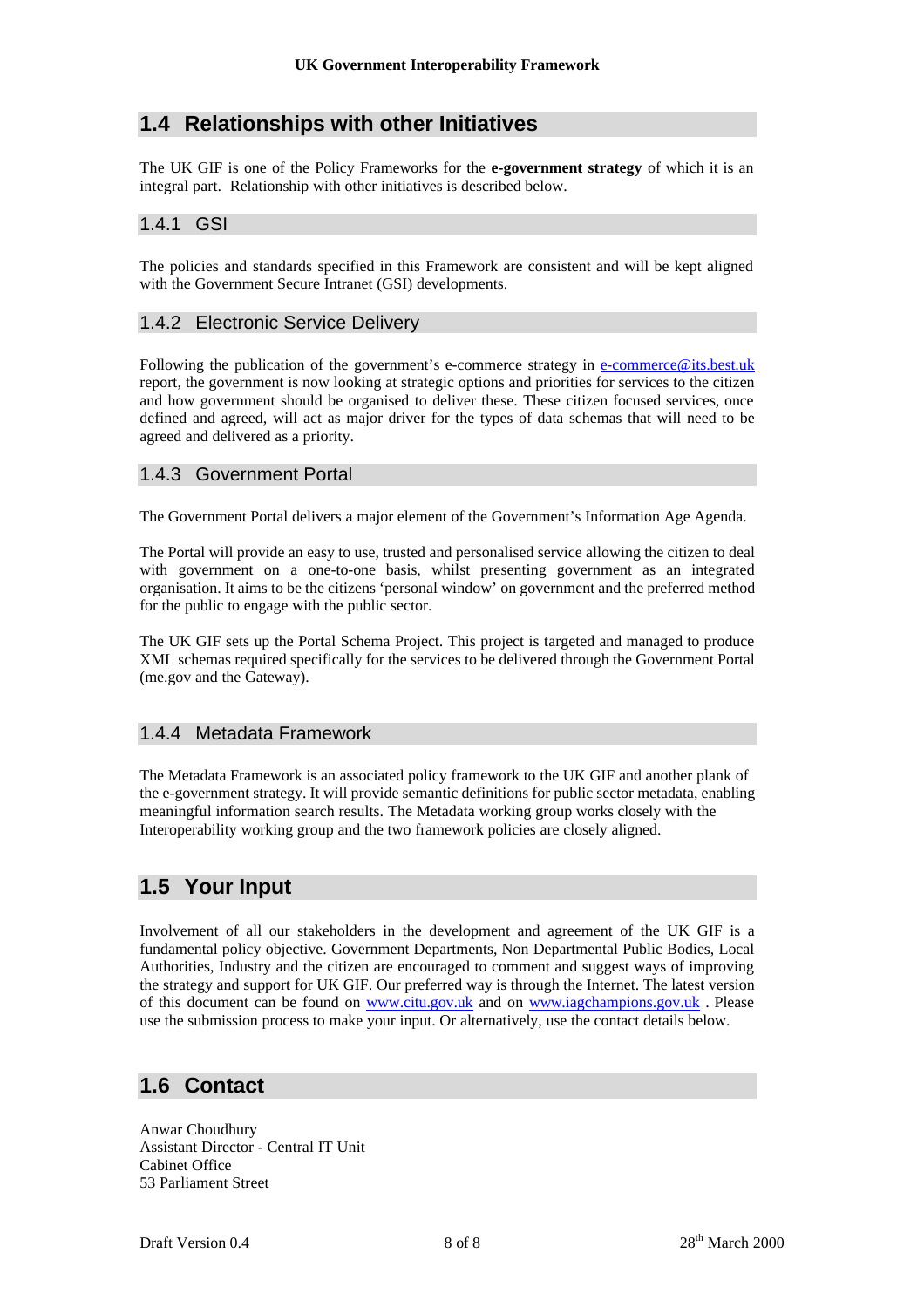### **1.4 Relationships with other Initiatives**

The UK GIF is one of the Policy Frameworks for the **e-government strategy** of which it is an integral part. Relationship with other initiatives is described below.

### 1.4.1 GSI

The policies and standards specified in this Framework are consistent and will be kept aligned with the Government Secure Intranet (GSI) developments.

### 1.4.2 Electronic Service Delivery

Following the publication of the government's e-commerce strategy in e-commerce@its.best.uk report, the government is now looking at strategic options and priorities for services to the citizen and how government should be organised to deliver these. These citizen focused services, once defined and agreed, will act as major driver for the types of data schemas that will need to be agreed and delivered as a priority.

### 1.4.3 Government Portal

The Government Portal delivers a major element of the Government's Information Age Agenda.

The Portal will provide an easy to use, trusted and personalised service allowing the citizen to deal with government on a one-to-one basis, whilst presenting government as an integrated organisation. It aims to be the citizens 'personal window' on government and the preferred method for the public to engage with the public sector.

The UK GIF sets up the Portal Schema Project. This project is targeted and managed to produce XML schemas required specifically for the services to be delivered through the Government Portal (me.gov and the Gateway).

#### 1.4.4 Metadata Framework

The Metadata Framework is an associated policy framework to the UK GIF and another plank of the e-government strategy. It will provide semantic definitions for public sector metadata, enabling meaningful information search results. The Metadata working group works closely with the Interoperability working group and the two framework policies are closely aligned.

### **1.5 Your Input**

Involvement of all our stakeholders in the development and agreement of the UK GIF is a fundamental policy objective. Government Departments, Non Departmental Public Bodies, Local Authorities, Industry and the citizen are encouraged to comment and suggest ways of improving the strategy and support for UK GIF. Our preferred way is through the Internet. The latest version of this document can be found on www.citu.gov.uk and on www.iagchampions.gov.uk . Please use the submission process to make your input. Or alternatively, use the contact details below.

### **1.6 Contact**

Anwar Choudhury Assistant Director - Central IT Unit Cabinet Office 53 Parliament Street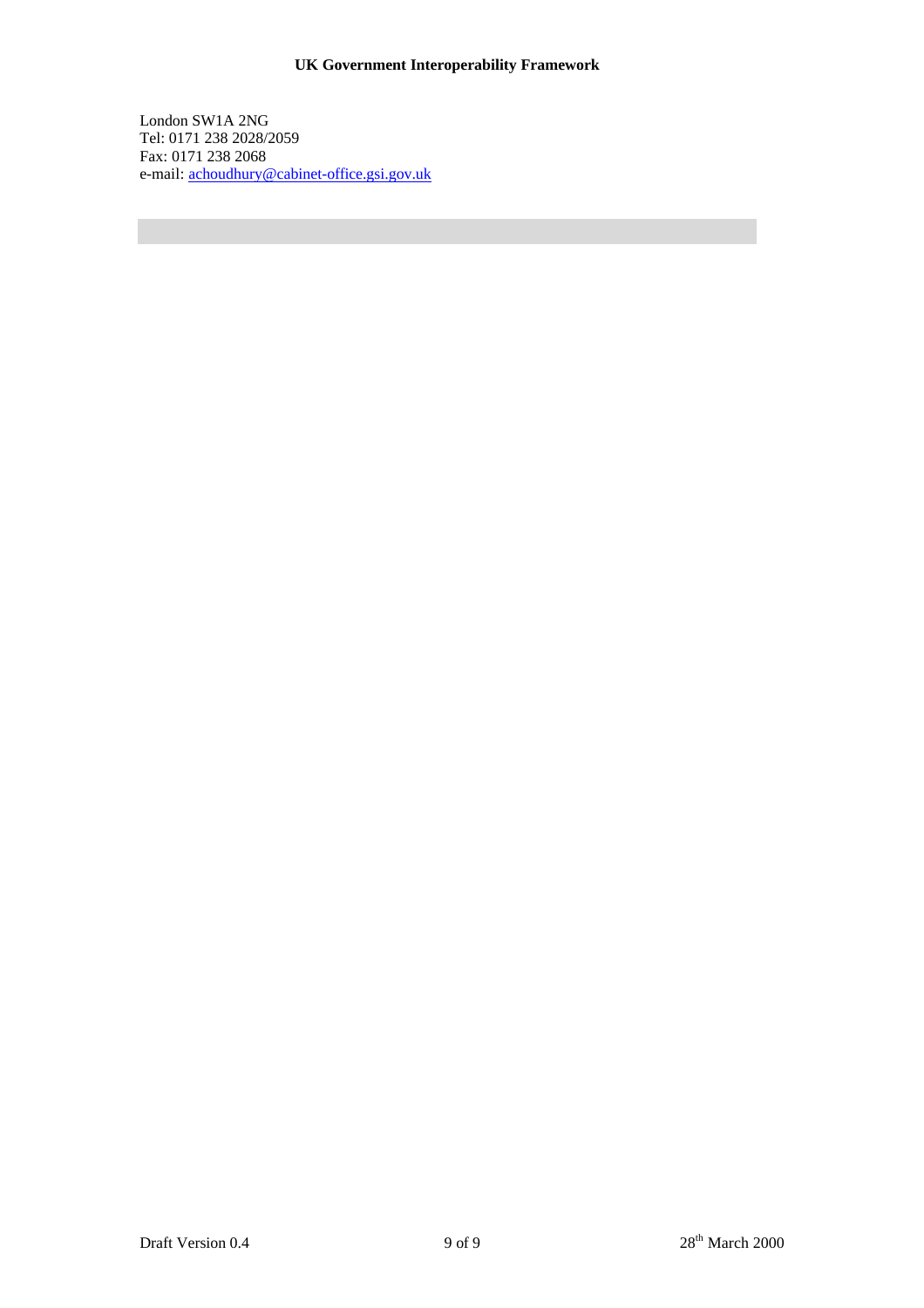London SW1A 2NG Tel: 0171 238 2028/2059 Fax: 0171 238 2068 e-mail: achoudhury@cabinet-office.gsi.gov.uk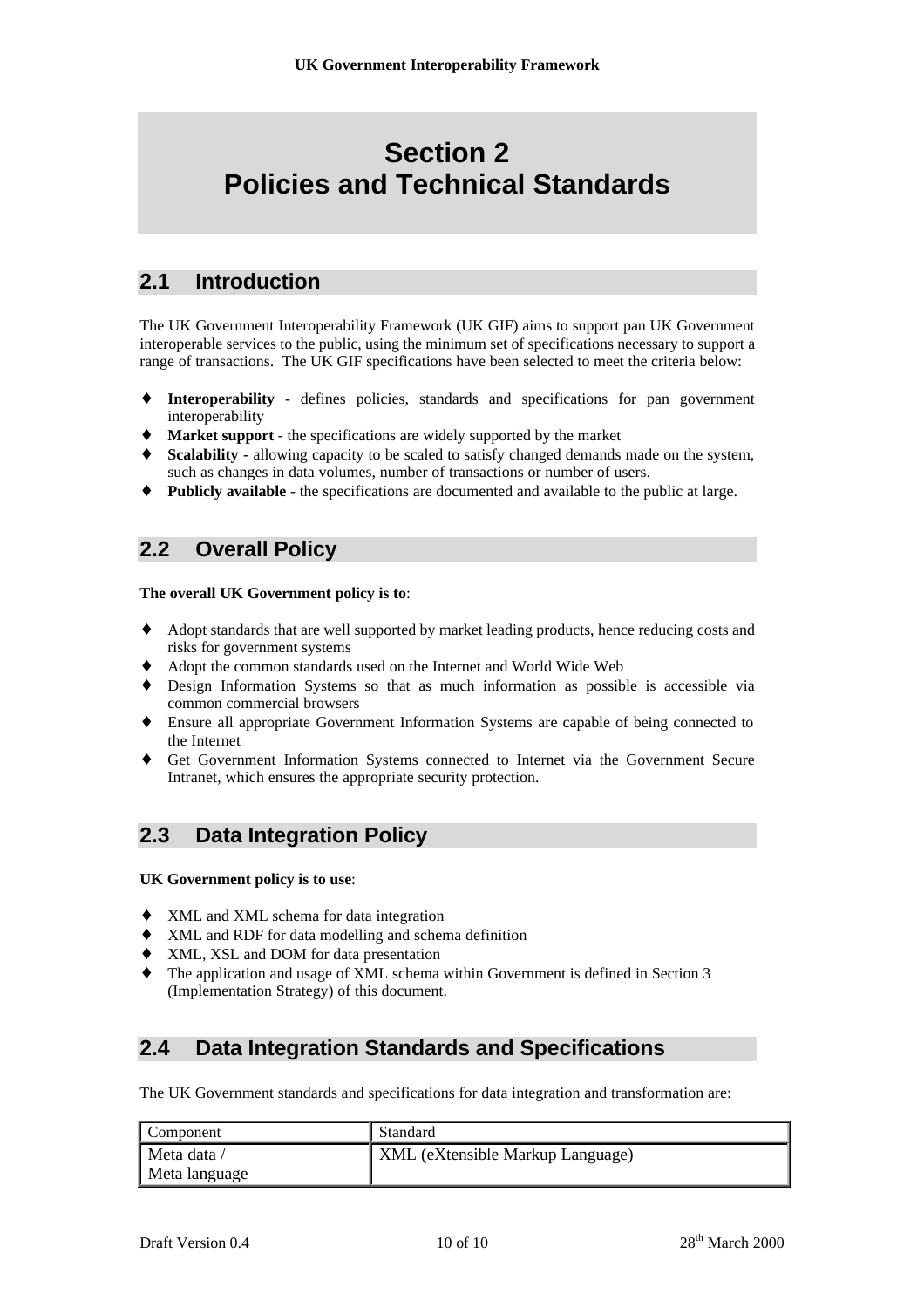## **Section 2 Policies and Technical Standards**

### **2.1 Introduction**

The UK Government Interoperability Framework (UK GIF) aims to support pan UK Government interoperable services to the public, using the minimum set of specifications necessary to support a range of transactions. The UK GIF specifications have been selected to meet the criteria below:

- ♦ **Interoperability** defines policies, standards and specifications for pan government interoperability
- **Market support** the specifications are widely supported by the market
- **Scalability** allowing capacity to be scaled to satisfy changed demands made on the system, such as changes in data volumes, number of transactions or number of users.
- ♦ **Publicly available** the specifications are documented and available to the public at large.

### **2.2 Overall Policy**

#### **The overall UK Government policy is to**:

- ♦ Adopt standards that are well supported by market leading products, hence reducing costs and risks for government systems
- Adopt the common standards used on the Internet and World Wide Web
- ♦ Design Information Systems so that as much information as possible is accessible via common commercial browsers
- ♦ Ensure all appropriate Government Information Systems are capable of being connected to the Internet
- ♦ Get Government Information Systems connected to Internet via the Government Secure Intranet, which ensures the appropriate security protection.

### **2.3 Data Integration Policy**

#### **UK Government policy is to use**:

- ♦ XML and XML schema for data integration
- ♦ XML and RDF for data modelling and schema definition
- XML, XSL and DOM for data presentation
- ♦ The application and usage of XML schema within Government is defined in Section 3 (Implementation Strategy) of this document.

### **2.4 Data Integration Standards and Specifications**

The UK Government standards and specifications for data integration and transformation are:

| <b>Component</b> | Standard                         |
|------------------|----------------------------------|
| Meta data /      | XML (eXtensible Markup Language) |
| Meta language    |                                  |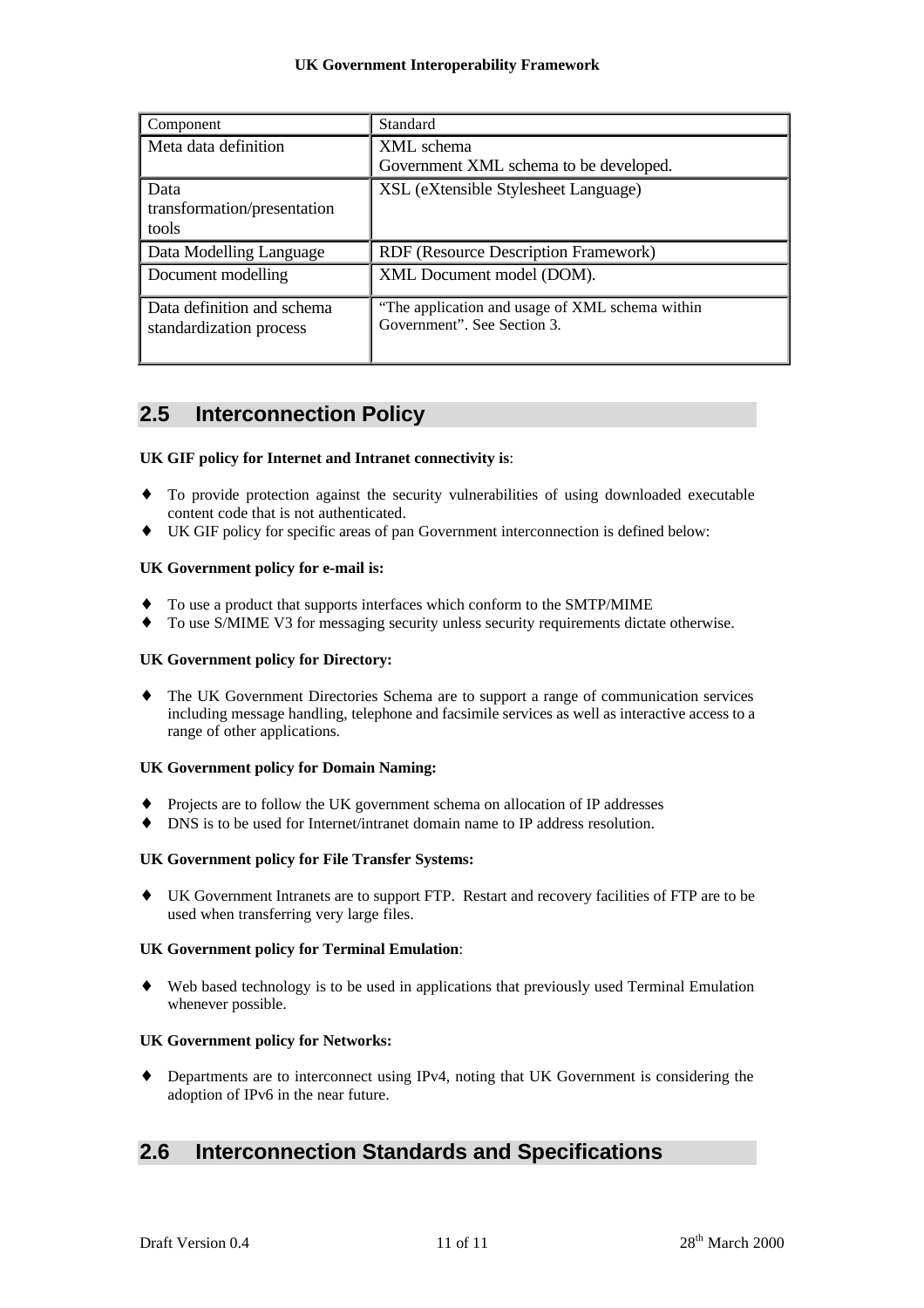| Component                                             | Standard                                                                       |
|-------------------------------------------------------|--------------------------------------------------------------------------------|
| Meta data definition                                  | XML schema                                                                     |
|                                                       | Government XML schema to be developed.                                         |
| Data                                                  | XSL (eXtensible Stylesheet Language)                                           |
| transformation/presentation                           |                                                                                |
| tools                                                 |                                                                                |
| Data Modelling Language                               | RDF (Resource Description Framework)                                           |
| Document modelling                                    | XML Document model (DOM).                                                      |
| Data definition and schema<br>standardization process | "The application and usage of XML schema within<br>Government". See Section 3. |

### **2.5 Interconnection Policy**

#### **UK GIF policy for Internet and Intranet connectivity is**:

- ♦ To provide protection against the security vulnerabilities of using downloaded executable content code that is not authenticated.
- ♦ UK GIF policy for specific areas of pan Government interconnection is defined below:

#### **UK Government policy for e-mail is:**

- ♦ To use a product that supports interfaces which conform to the SMTP/MIME
- To use S/MIME V3 for messaging security unless security requirements dictate otherwise.

#### **UK Government policy for Directory:**

♦ The UK Government Directories Schema are to support a range of communication services including message handling, telephone and facsimile services as well as interactive access to a range of other applications.

#### **UK Government policy for Domain Naming:**

- Projects are to follow the UK government schema on allocation of IP addresses
- DNS is to be used for Internet/intranet domain name to IP address resolution.

#### **UK Government policy for File Transfer Systems:**

♦ UK Government Intranets are to support FTP. Restart and recovery facilities of FTP are to be used when transferring very large files.

#### **UK Government policy for Terminal Emulation**:

♦ Web based technology is to be used in applications that previously used Terminal Emulation whenever possible.

#### **UK Government policy for Networks:**

♦ Departments are to interconnect using IPv4, noting that UK Government is considering the adoption of IPv6 in the near future.

### **2.6 Interconnection Standards and Specifications**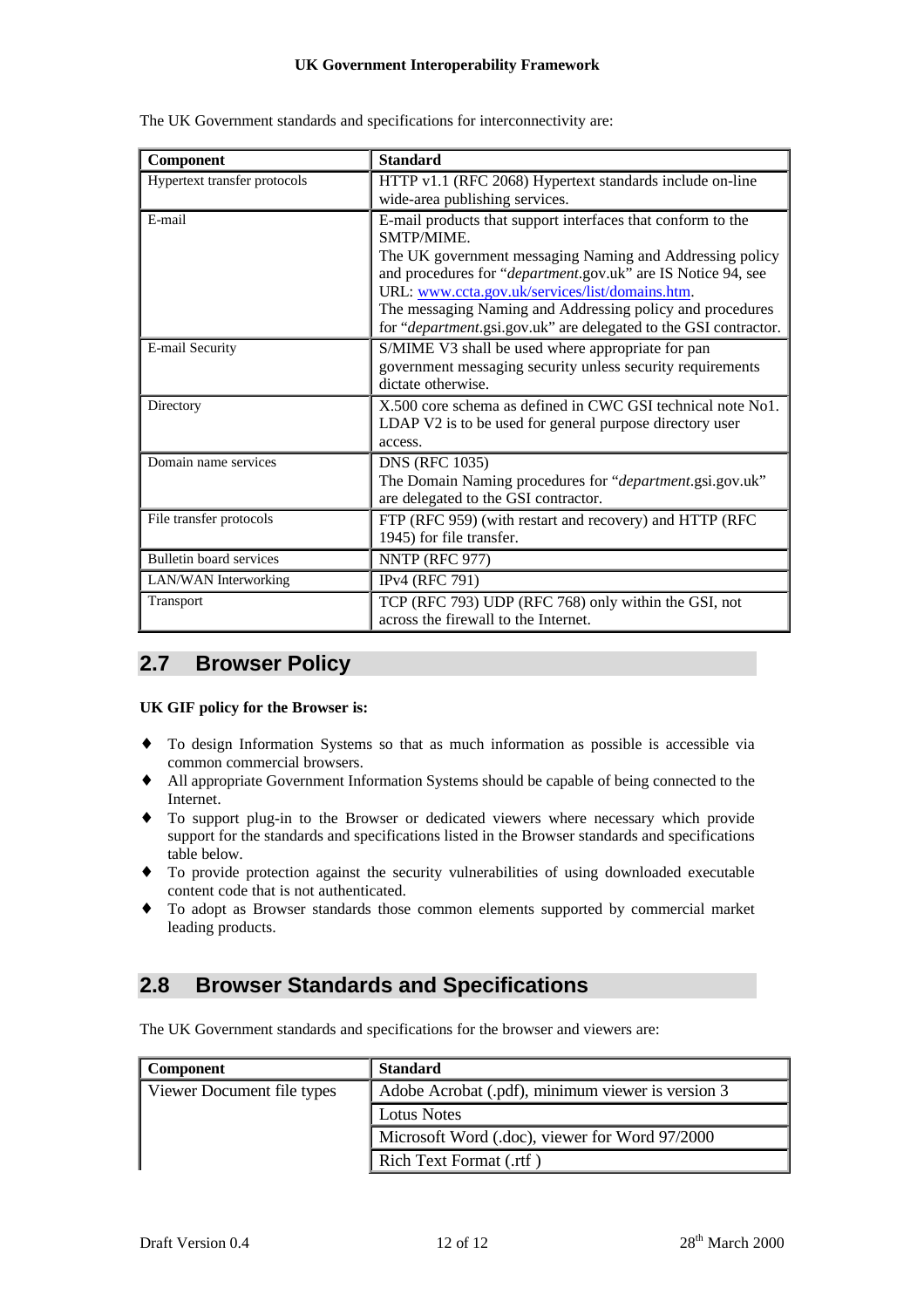| Component                    | <b>Standard</b>                                                                                                                                                                                                                                                                                                                                                                                  |
|------------------------------|--------------------------------------------------------------------------------------------------------------------------------------------------------------------------------------------------------------------------------------------------------------------------------------------------------------------------------------------------------------------------------------------------|
| Hypertext transfer protocols | HTTP v1.1 (RFC 2068) Hypertext standards include on-line<br>wide-area publishing services.                                                                                                                                                                                                                                                                                                       |
| E-mail                       | E-mail products that support interfaces that conform to the<br><b>SMTP/MIME.</b><br>The UK government messaging Naming and Addressing policy<br>and procedures for "department.gov.uk" are IS Notice 94, see<br>URL: www.ccta.gov.uk/services/list/domains.htm.<br>The messaging Naming and Addressing policy and procedures<br>for "department.gsi.gov.uk" are delegated to the GSI contractor. |
| E-mail Security              | S/MIME V3 shall be used where appropriate for pan<br>government messaging security unless security requirements<br>dictate otherwise.                                                                                                                                                                                                                                                            |
| Directory                    | X.500 core schema as defined in CWC GSI technical note No1.<br>LDAP V2 is to be used for general purpose directory user<br>access.                                                                                                                                                                                                                                                               |
| Domain name services         | <b>DNS (RFC 1035)</b><br>The Domain Naming procedures for "department.gsi.gov.uk"<br>are delegated to the GSI contractor.                                                                                                                                                                                                                                                                        |
| File transfer protocols      | FTP (RFC 959) (with restart and recovery) and HTTP (RFC<br>1945) for file transfer.                                                                                                                                                                                                                                                                                                              |
| Bulletin board services      | NNTP (RFC 977)                                                                                                                                                                                                                                                                                                                                                                                   |
| LAN/WAN Interworking         | IPv4 (RFC 791)                                                                                                                                                                                                                                                                                                                                                                                   |
| Transport                    | TCP (RFC 793) UDP (RFC 768) only within the GSI, not<br>across the firewall to the Internet.                                                                                                                                                                                                                                                                                                     |

The UK Government standards and specifications for interconnectivity are:

### **2.7 Browser Policy**

#### **UK GIF policy for the Browser is:**

- ♦ To design Information Systems so that as much information as possible is accessible via common commercial browsers.
- ♦ All appropriate Government Information Systems should be capable of being connected to the Internet.
- ♦ To support plug-in to the Browser or dedicated viewers where necessary which provide support for the standards and specifications listed in the Browser standards and specifications table below.
- ♦ To provide protection against the security vulnerabilities of using downloaded executable content code that is not authenticated.
- ♦ To adopt as Browser standards those common elements supported by commercial market leading products.

### **2.8 Browser Standards and Specifications**

The UK Government standards and specifications for the browser and viewers are:

| <b>Component</b>           | <b>Standard</b>                                   |
|----------------------------|---------------------------------------------------|
| Viewer Document file types | Adobe Acrobat (.pdf), minimum viewer is version 3 |
|                            | Lotus Notes                                       |
|                            | Microsoft Word (.doc), viewer for Word 97/2000    |
|                            | Rich Text Format (.rtf)                           |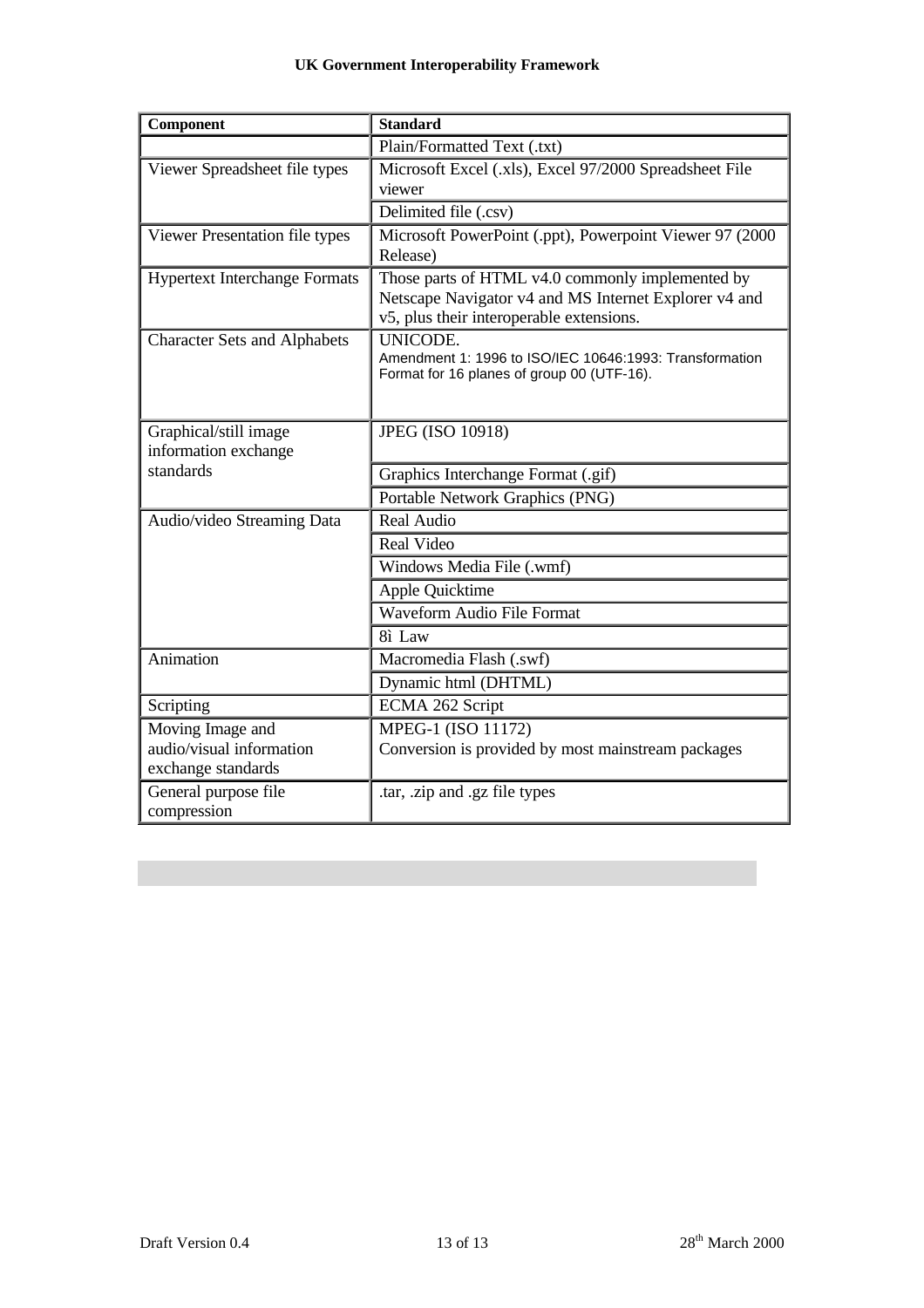| Component                            | <b>Standard</b>                                                                                       |
|--------------------------------------|-------------------------------------------------------------------------------------------------------|
|                                      | Plain/Formatted Text (.txt)                                                                           |
| Viewer Spreadsheet file types        | Microsoft Excel (.xls), Excel 97/2000 Spreadsheet File                                                |
|                                      | viewer                                                                                                |
|                                      | Delimited file (.csv)                                                                                 |
| Viewer Presentation file types       | Microsoft PowerPoint (.ppt), Powerpoint Viewer 97 (2000                                               |
|                                      | Release)                                                                                              |
| <b>Hypertext Interchange Formats</b> | Those parts of HTML v4.0 commonly implemented by                                                      |
|                                      | Netscape Navigator v4 and MS Internet Explorer v4 and                                                 |
|                                      | v5, plus their interoperable extensions.                                                              |
| <b>Character Sets and Alphabets</b>  | UNICODE.                                                                                              |
|                                      | Amendment 1: 1996 to ISO/IEC 10646:1993: Transformation<br>Format for 16 planes of group 00 (UTF-16). |
|                                      |                                                                                                       |
|                                      |                                                                                                       |
| Graphical/still image                | <b>JPEG (ISO 10918)</b>                                                                               |
| information exchange                 |                                                                                                       |
| standards                            | Graphics Interchange Format (.gif)                                                                    |
|                                      | Portable Network Graphics (PNG)                                                                       |
| Audio/video Streaming Data           | Real Audio                                                                                            |
|                                      | <b>Real Video</b>                                                                                     |
|                                      | Windows Media File (.wmf)                                                                             |
|                                      | Apple Quicktime                                                                                       |
|                                      | Waveform Audio File Format                                                                            |
|                                      | 8ì Law                                                                                                |
| Animation                            | Macromedia Flash (.swf)                                                                               |
|                                      | Dynamic html (DHTML)                                                                                  |
| Scripting                            | ECMA 262 Script                                                                                       |
| Moving Image and                     | MPEG-1 (ISO 11172)                                                                                    |
| audio/visual information             | Conversion is provided by most mainstream packages                                                    |
| exchange standards                   |                                                                                                       |
| General purpose file                 | tar, .zip and .gz file types                                                                          |
| compression                          |                                                                                                       |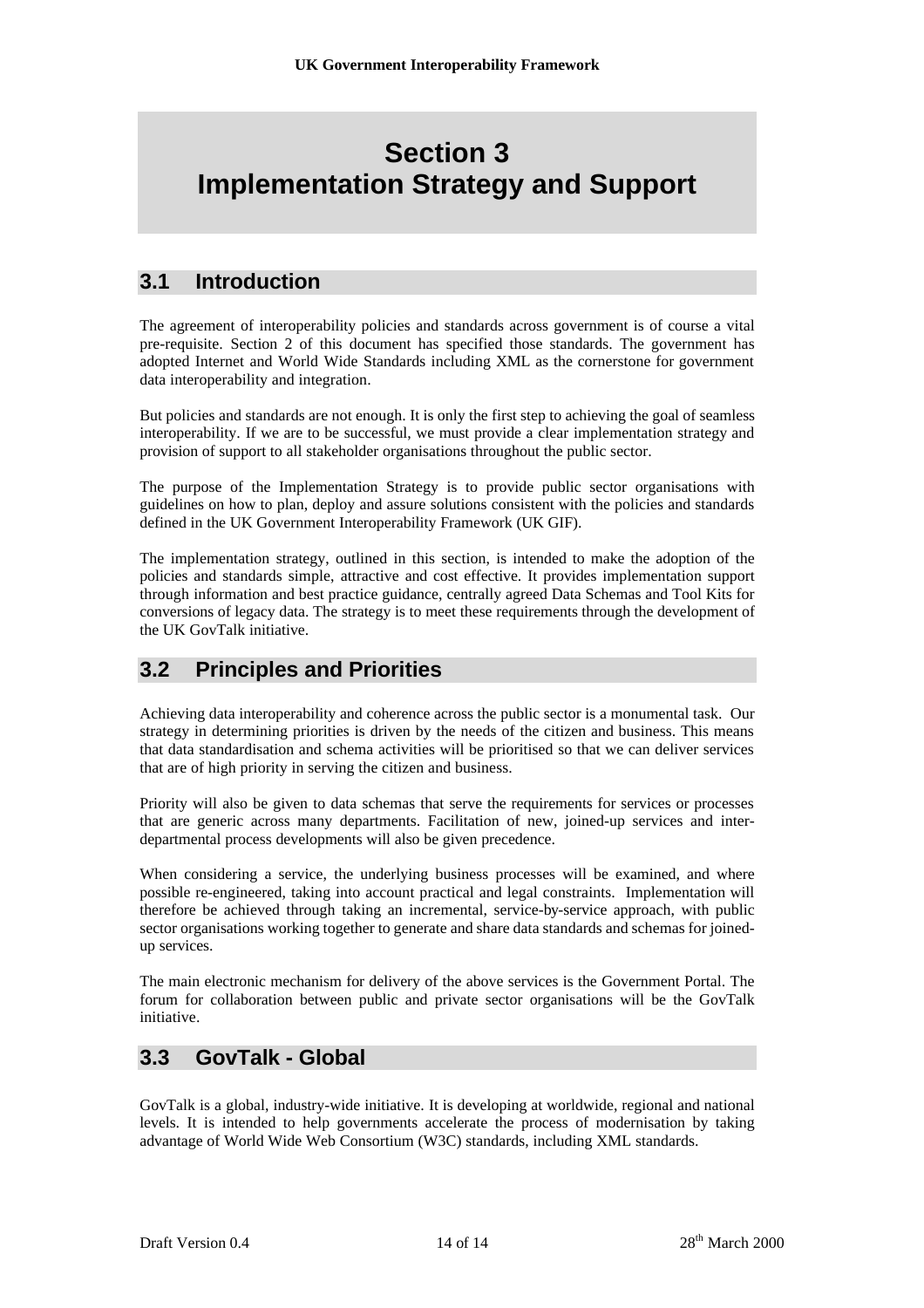## **Section 3 Implementation Strategy and Support**

### **3.1 Introduction**

The agreement of interoperability policies and standards across government is of course a vital pre-requisite. Section 2 of this document has specified those standards. The government has adopted Internet and World Wide Standards including XML as the cornerstone for government data interoperability and integration.

But policies and standards are not enough. It is only the first step to achieving the goal of seamless interoperability. If we are to be successful, we must provide a clear implementation strategy and provision of support to all stakeholder organisations throughout the public sector.

The purpose of the Implementation Strategy is to provide public sector organisations with guidelines on how to plan, deploy and assure solutions consistent with the policies and standards defined in the UK Government Interoperability Framework (UK GIF).

The implementation strategy, outlined in this section, is intended to make the adoption of the policies and standards simple, attractive and cost effective. It provides implementation support through information and best practice guidance, centrally agreed Data Schemas and Tool Kits for conversions of legacy data. The strategy is to meet these requirements through the development of the UK GovTalk initiative.

### **3.2 Principles and Priorities**

Achieving data interoperability and coherence across the public sector is a monumental task. Our strategy in determining priorities is driven by the needs of the citizen and business. This means that data standardisation and schema activities will be prioritised so that we can deliver services that are of high priority in serving the citizen and business.

Priority will also be given to data schemas that serve the requirements for services or processes that are generic across many departments. Facilitation of new, joined-up services and interdepartmental process developments will also be given precedence.

When considering a service, the underlying business processes will be examined, and where possible re-engineered, taking into account practical and legal constraints. Implementation will therefore be achieved through taking an incremental, service-by-service approach, with public sector organisations working together to generate and share data standards and schemas for joinedup services.

The main electronic mechanism for delivery of the above services is the Government Portal. The forum for collaboration between public and private sector organisations will be the GovTalk initiative.

### **3.3 GovTalk - Global**

GovTalk is a global, industry-wide initiative. It is developing at worldwide, regional and national levels. It is intended to help governments accelerate the process of modernisation by taking advantage of World Wide Web Consortium (W3C) standards, including XML standards.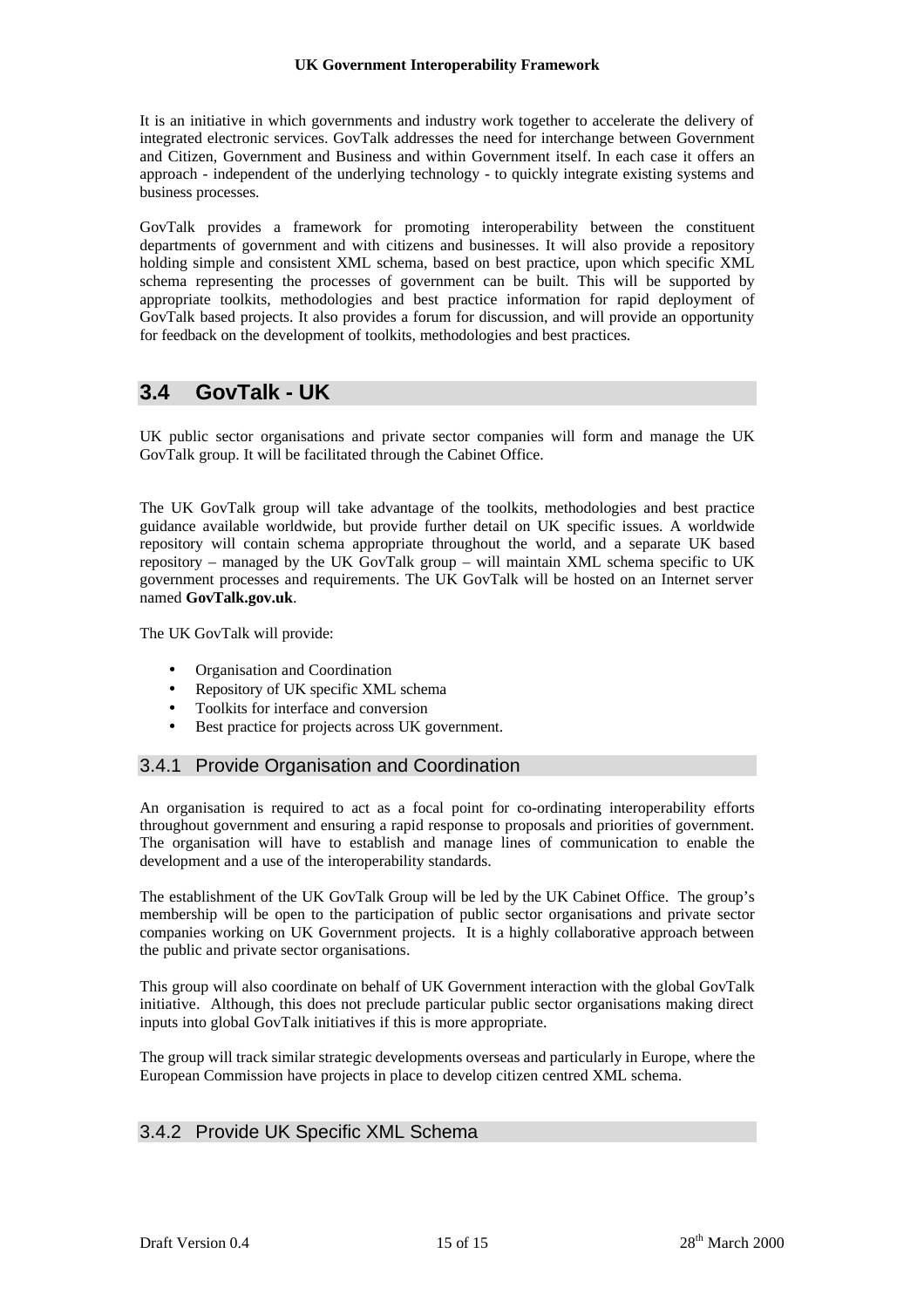It is an initiative in which governments and industry work together to accelerate the delivery of integrated electronic services. GovTalk addresses the need for interchange between Government and Citizen, Government and Business and within Government itself. In each case it offers an approach - independent of the underlying technology - to quickly integrate existing systems and business processes.

GovTalk provides a framework for promoting interoperability between the constituent departments of government and with citizens and businesses. It will also provide a repository holding simple and consistent XML schema, based on best practice, upon which specific XML schema representing the processes of government can be built. This will be supported by appropriate toolkits, methodologies and best practice information for rapid deployment of GovTalk based projects. It also provides a forum for discussion, and will provide an opportunity for feedback on the development of toolkits, methodologies and best practices.

### **3.4 GovTalk - UK**

UK public sector organisations and private sector companies will form and manage the UK GovTalk group. It will be facilitated through the Cabinet Office.

The UK GovTalk group will take advantage of the toolkits, methodologies and best practice guidance available worldwide, but provide further detail on UK specific issues. A worldwide repository will contain schema appropriate throughout the world, and a separate UK based repository – managed by the UK GovTalk group – will maintain XML schema specific to UK government processes and requirements. The UK GovTalk will be hosted on an Internet server named **GovTalk.gov.uk**.

The UK GovTalk will provide:

- Organisation and Coordination
- Repository of UK specific XML schema
- Toolkits for interface and conversion
- Best practice for projects across UK government.

#### 3.4.1 Provide Organisation and Coordination

An organisation is required to act as a focal point for co-ordinating interoperability efforts throughout government and ensuring a rapid response to proposals and priorities of government. The organisation will have to establish and manage lines of communication to enable the development and a use of the interoperability standards.

The establishment of the UK GovTalk Group will be led by the UK Cabinet Office. The group's membership will be open to the participation of public sector organisations and private sector companies working on UK Government projects. It is a highly collaborative approach between the public and private sector organisations.

This group will also coordinate on behalf of UK Government interaction with the global GovTalk initiative. Although, this does not preclude particular public sector organisations making direct inputs into global GovTalk initiatives if this is more appropriate.

The group will track similar strategic developments overseas and particularly in Europe, where the European Commission have projects in place to develop citizen centred XML schema.

### 3.4.2 Provide UK Specific XML Schema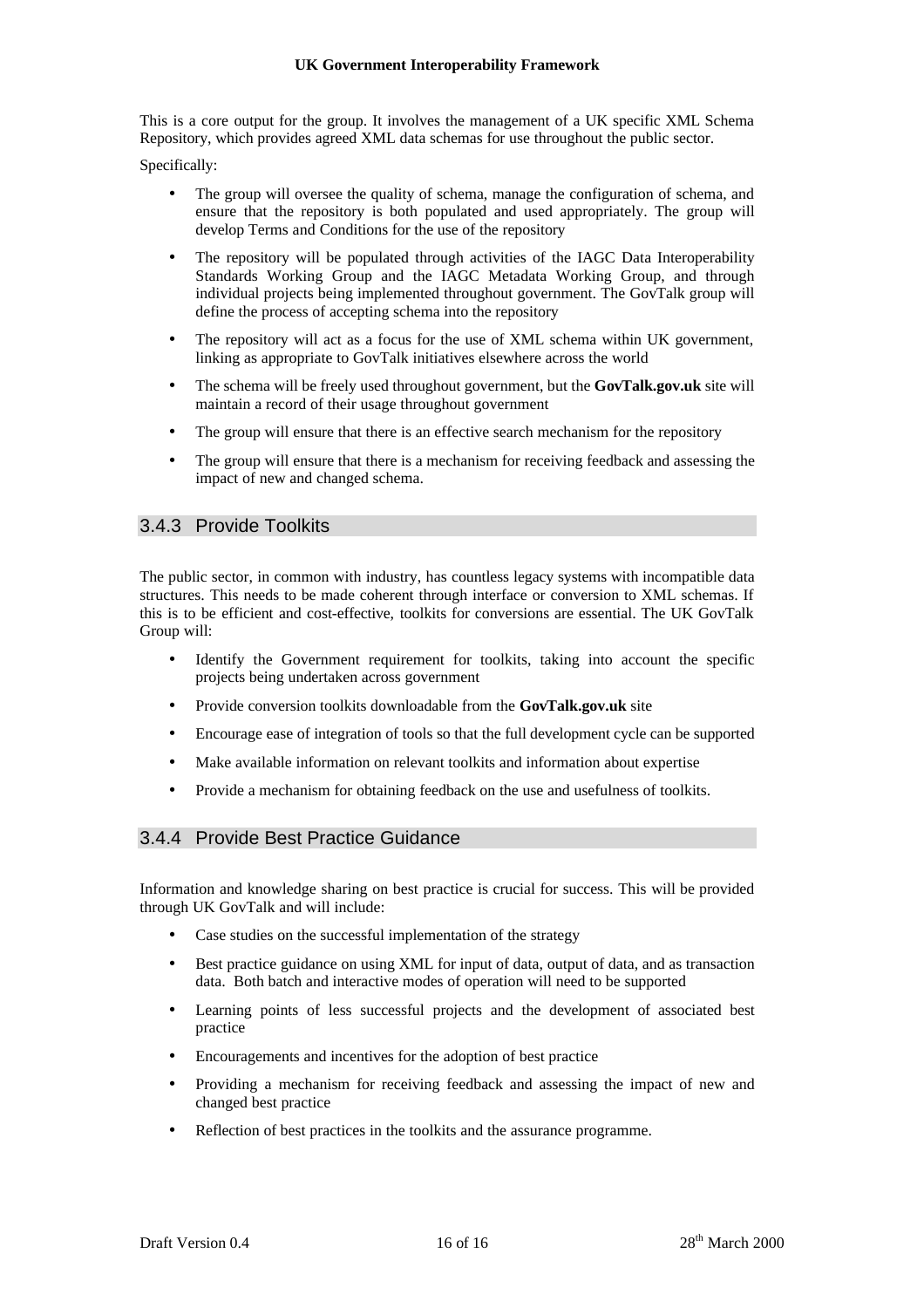This is a core output for the group. It involves the management of a UK specific XML Schema Repository, which provides agreed XML data schemas for use throughout the public sector.

Specifically:

- The group will oversee the quality of schema, manage the configuration of schema, and ensure that the repository is both populated and used appropriately. The group will develop Terms and Conditions for the use of the repository
- The repository will be populated through activities of the IAGC Data Interoperability Standards Working Group and the IAGC Metadata Working Group, and through individual projects being implemented throughout government. The GovTalk group will define the process of accepting schema into the repository
- The repository will act as a focus for the use of XML schema within UK government, linking as appropriate to GovTalk initiatives elsewhere across the world
- The schema will be freely used throughout government, but the **GovTalk.gov.uk** site will maintain a record of their usage throughout government
- The group will ensure that there is an effective search mechanism for the repository
- The group will ensure that there is a mechanism for receiving feedback and assessing the impact of new and changed schema.

### 3.4.3 Provide Toolkits

The public sector, in common with industry, has countless legacy systems with incompatible data structures. This needs to be made coherent through interface or conversion to XML schemas. If this is to be efficient and cost-effective, toolkits for conversions are essential. The UK GovTalk Group will:

- Identify the Government requirement for toolkits, taking into account the specific projects being undertaken across government
- Provide conversion toolkits downloadable from the **GovTalk.gov.uk** site
- Encourage ease of integration of tools so that the full development cycle can be supported
- Make available information on relevant toolkits and information about expertise
- Provide a mechanism for obtaining feedback on the use and usefulness of toolkits.

### 3.4.4 Provide Best Practice Guidance

Information and knowledge sharing on best practice is crucial for success. This will be provided through UK GovTalk and will include:

- Case studies on the successful implementation of the strategy
- Best practice guidance on using XML for input of data, output of data, and as transaction data. Both batch and interactive modes of operation will need to be supported
- Learning points of less successful projects and the development of associated best practice
- Encouragements and incentives for the adoption of best practice
- Providing a mechanism for receiving feedback and assessing the impact of new and changed best practice
- Reflection of best practices in the toolkits and the assurance programme.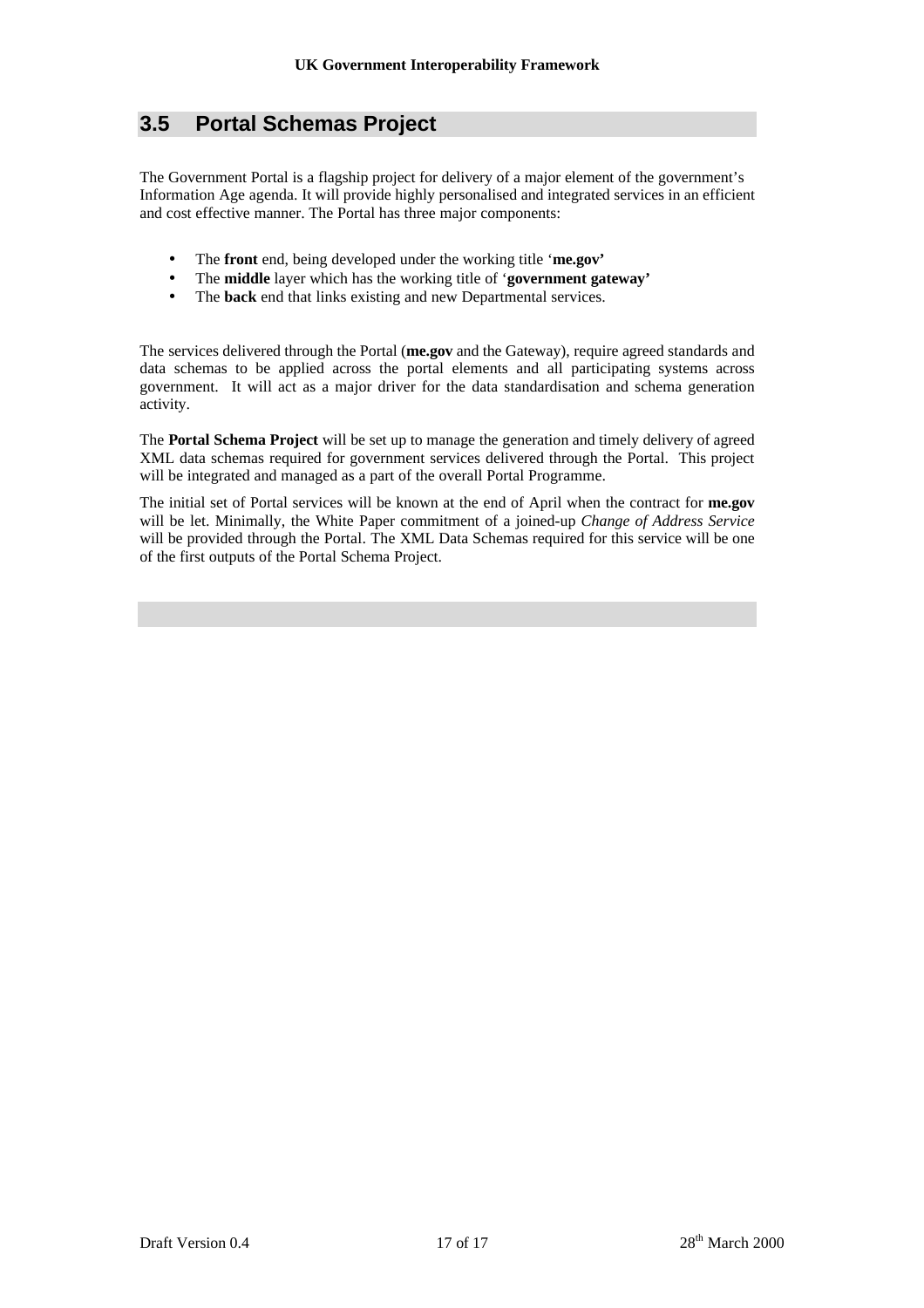### **3.5 Portal Schemas Project**

The Government Portal is a flagship project for delivery of a major element of the government's Information Age agenda. It will provide highly personalised and integrated services in an efficient and cost effective manner. The Portal has three major components:

- The **front** end, being developed under the working title '**me.gov'**
- The **middle** layer which has the working title of '**government gateway'**
- The **back** end that links existing and new Departmental services.

The services delivered through the Portal (**me.gov** and the Gateway), require agreed standards and data schemas to be applied across the portal elements and all participating systems across government. It will act as a major driver for the data standardisation and schema generation activity.

The **Portal Schema Project** will be set up to manage the generation and timely delivery of agreed XML data schemas required for government services delivered through the Portal. This project will be integrated and managed as a part of the overall Portal Programme.

The initial set of Portal services will be known at the end of April when the contract for **me.gov** will be let. Minimally, the White Paper commitment of a joined-up *Change of Address Service* will be provided through the Portal. The XML Data Schemas required for this service will be one of the first outputs of the Portal Schema Project.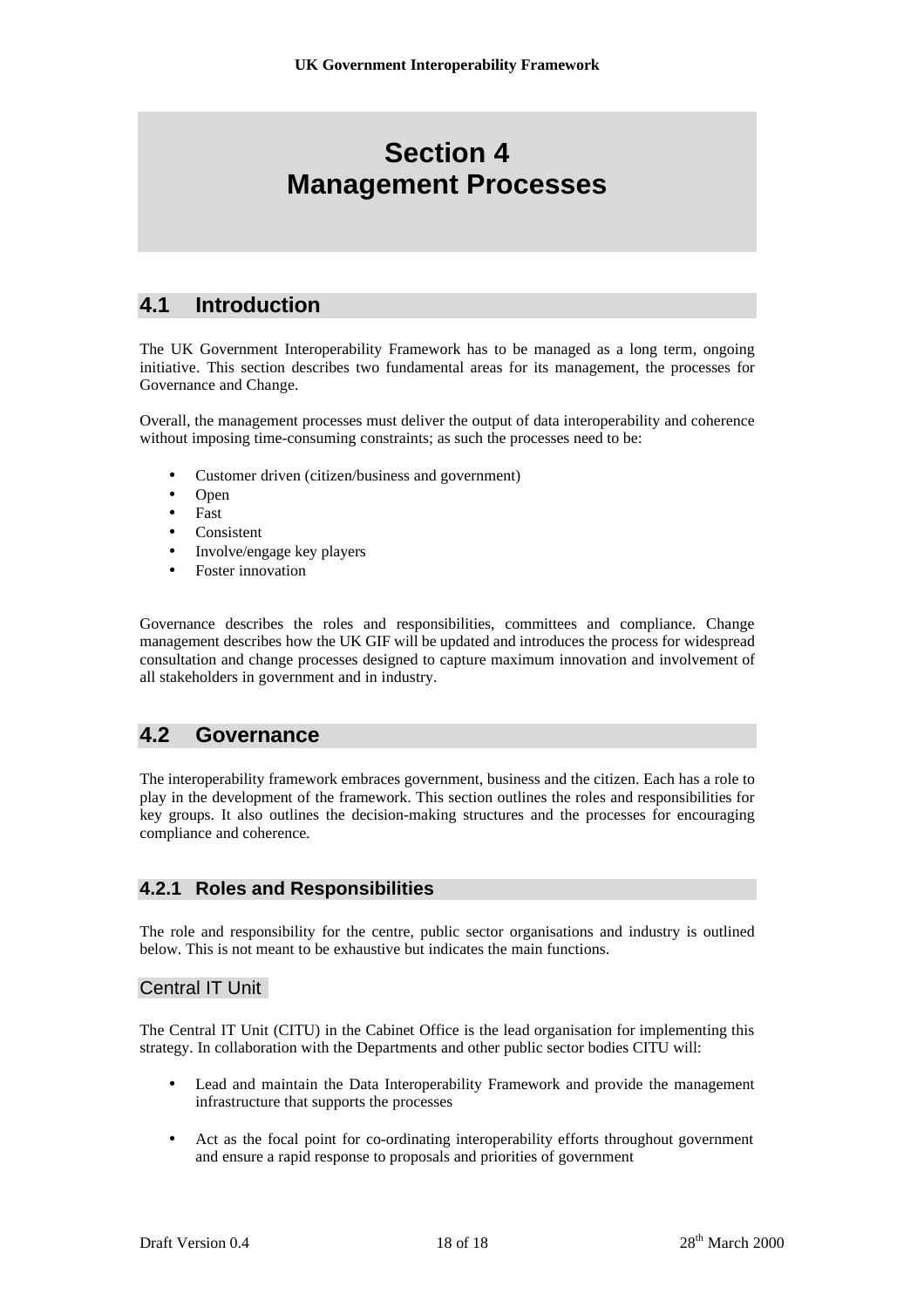## **Section 4 Management Processes**

### **4.1 Introduction**

The UK Government Interoperability Framework has to be managed as a long term, ongoing initiative. This section describes two fundamental areas for its management, the processes for Governance and Change.

Overall, the management processes must deliver the output of data interoperability and coherence without imposing time-consuming constraints; as such the processes need to be:

- Customer driven (citizen/business and government)
- Open
- Fast
- **Consistent**
- Involve/engage key players
- Foster innovation

Governance describes the roles and responsibilities, committees and compliance. Change management describes how the UK GIF will be updated and introduces the process for widespread consultation and change processes designed to capture maximum innovation and involvement of all stakeholders in government and in industry.

### **4.2 Governance**

The interoperability framework embraces government, business and the citizen. Each has a role to play in the development of the framework. This section outlines the roles and responsibilities for key groups. It also outlines the decision-making structures and the processes for encouraging compliance and coherence.

### **4.2.1 Roles and Responsibilities**

The role and responsibility for the centre, public sector organisations and industry is outlined below. This is not meant to be exhaustive but indicates the main functions.

### Central IT Unit

The Central IT Unit (CITU) in the Cabinet Office is the lead organisation for implementing this strategy. In collaboration with the Departments and other public sector bodies CITU will:

- Lead and maintain the Data Interoperability Framework and provide the management infrastructure that supports the processes
- Act as the focal point for co-ordinating interoperability efforts throughout government and ensure a rapid response to proposals and priorities of government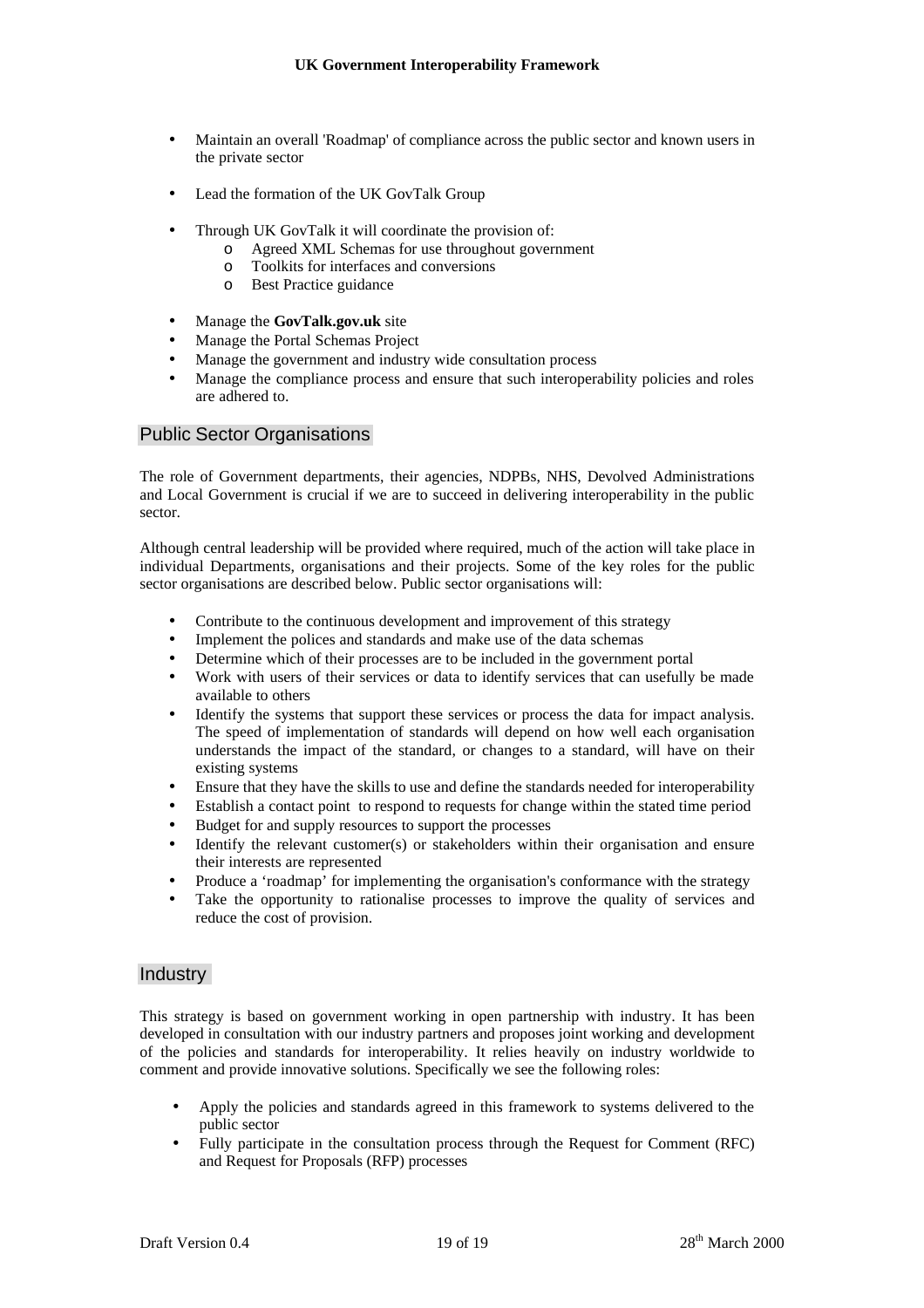- Maintain an overall 'Roadmap' of compliance across the public sector and known users in the private sector
- Lead the formation of the UK GovTalk Group
- Through UK GovTalk it will coordinate the provision of:
	- o Agreed XML Schemas for use throughout government
	- o Toolkits for interfaces and conversions
	- o Best Practice guidance
- Manage the **GovTalk.gov.uk** site
- Manage the Portal Schemas Project
- Manage the government and industry wide consultation process
- Manage the compliance process and ensure that such interoperability policies and roles are adhered to.

#### Public Sector Organisations

The role of Government departments, their agencies, NDPBs, NHS, Devolved Administrations and Local Government is crucial if we are to succeed in delivering interoperability in the public sector.

Although central leadership will be provided where required, much of the action will take place in individual Departments, organisations and their projects. Some of the key roles for the public sector organisations are described below. Public sector organisations will:

- Contribute to the continuous development and improvement of this strategy
- Implement the polices and standards and make use of the data schemas
- Determine which of their processes are to be included in the government portal
- Work with users of their services or data to identify services that can usefully be made available to others
- Identify the systems that support these services or process the data for impact analysis. The speed of implementation of standards will depend on how well each organisation understands the impact of the standard, or changes to a standard, will have on their existing systems
- Ensure that they have the skills to use and define the standards needed for interoperability
- Establish a contact point to respond to requests for change within the stated time period
- Budget for and supply resources to support the processes
- Identify the relevant customer(s) or stakeholders within their organisation and ensure their interests are represented
- Produce a 'roadmap' for implementing the organisation's conformance with the strategy
- Take the opportunity to rationalise processes to improve the quality of services and reduce the cost of provision.

#### **Industry**

This strategy is based on government working in open partnership with industry. It has been developed in consultation with our industry partners and proposes joint working and development of the policies and standards for interoperability. It relies heavily on industry worldwide to comment and provide innovative solutions. Specifically we see the following roles:

- Apply the policies and standards agreed in this framework to systems delivered to the public sector
- Fully participate in the consultation process through the Request for Comment (RFC) and Request for Proposals (RFP) processes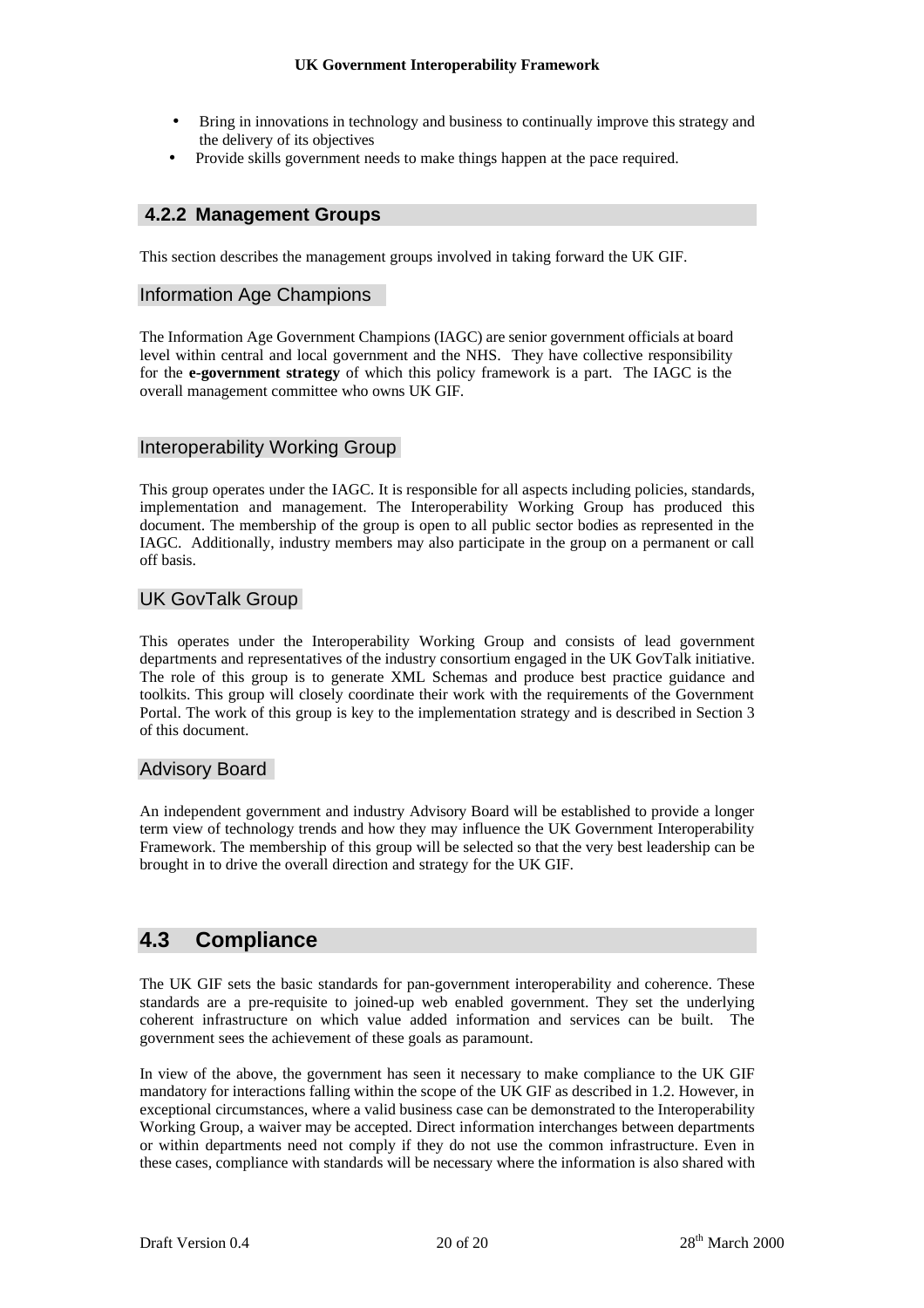- Bring in innovations in technology and business to continually improve this strategy and the delivery of its objectives
- Provide skills government needs to make things happen at the pace required.

### **4.2.2 Management Groups**

This section describes the management groups involved in taking forward the UK GIF.

### Information Age Champions

The Information Age Government Champions (IAGC) are senior government officials at board level within central and local government and the NHS. They have collective responsibility for the **e-government strategy** of which this policy framework is a part. The IAGC is the overall management committee who owns UK GIF.

#### Interoperability Working Group

This group operates under the IAGC. It is responsible for all aspects including policies, standards, implementation and management. The Interoperability Working Group has produced this document. The membership of the group is open to all public sector bodies as represented in the IAGC. Additionally, industry members may also participate in the group on a permanent or call off basis.

### UK GovTalk Group

This operates under the Interoperability Working Group and consists of lead government departments and representatives of the industry consortium engaged in the UK GovTalk initiative. The role of this group is to generate XML Schemas and produce best practice guidance and toolkits. This group will closely coordinate their work with the requirements of the Government Portal. The work of this group is key to the implementation strategy and is described in Section 3 of this document.

#### Advisory Board

An independent government and industry Advisory Board will be established to provide a longer term view of technology trends and how they may influence the UK Government Interoperability Framework. The membership of this group will be selected so that the very best leadership can be brought in to drive the overall direction and strategy for the UK GIF.

### **4.3 Compliance**

The UK GIF sets the basic standards for pan-government interoperability and coherence. These standards are a pre-requisite to joined-up web enabled government. They set the underlying coherent infrastructure on which value added information and services can be built. The government sees the achievement of these goals as paramount.

In view of the above, the government has seen it necessary to make compliance to the UK GIF mandatory for interactions falling within the scope of the UK GIF as described in 1.2. However, in exceptional circumstances, where a valid business case can be demonstrated to the Interoperability Working Group, a waiver may be accepted. Direct information interchanges between departments or within departments need not comply if they do not use the common infrastructure. Even in these cases, compliance with standards will be necessary where the information is also shared with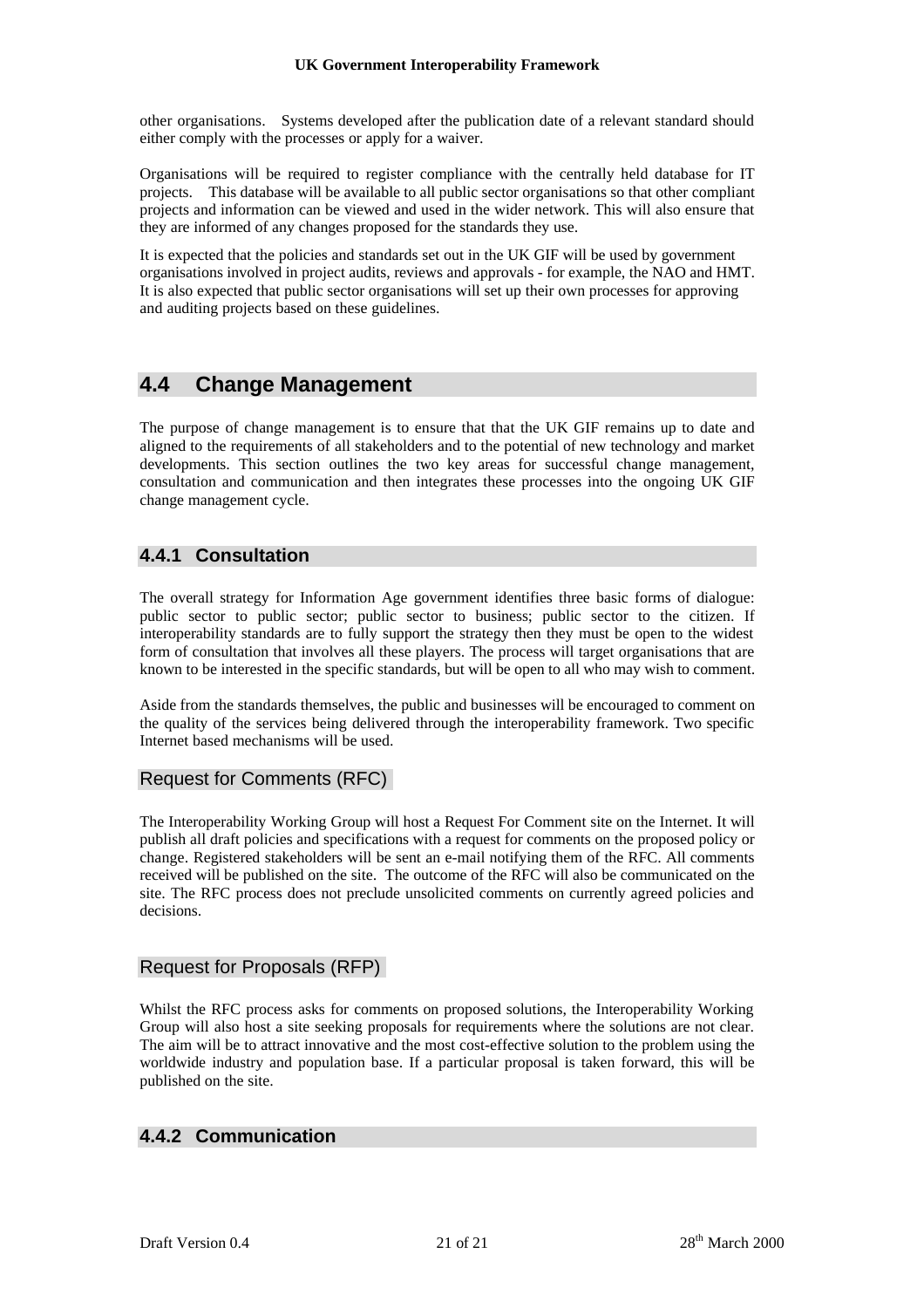other organisations. Systems developed after the publication date of a relevant standard should either comply with the processes or apply for a waiver.

Organisations will be required to register compliance with the centrally held database for IT projects. This database will be available to all public sector organisations so that other compliant projects and information can be viewed and used in the wider network. This will also ensure that they are informed of any changes proposed for the standards they use.

It is expected that the policies and standards set out in the UK GIF will be used by government organisations involved in project audits, reviews and approvals - for example, the NAO and HMT. It is also expected that public sector organisations will set up their own processes for approving and auditing projects based on these guidelines.

### **4.4 Change Management**

The purpose of change management is to ensure that that the UK GIF remains up to date and aligned to the requirements of all stakeholders and to the potential of new technology and market developments. This section outlines the two key areas for successful change management, consultation and communication and then integrates these processes into the ongoing UK GIF change management cycle.

### **4.4.1 Consultation**

The overall strategy for Information Age government identifies three basic forms of dialogue: public sector to public sector; public sector to business; public sector to the citizen. If interoperability standards are to fully support the strategy then they must be open to the widest form of consultation that involves all these players. The process will target organisations that are known to be interested in the specific standards, but will be open to all who may wish to comment.

Aside from the standards themselves, the public and businesses will be encouraged to comment on the quality of the services being delivered through the interoperability framework. Two specific Internet based mechanisms will be used.

### Request for Comments (RFC)

The Interoperability Working Group will host a Request For Comment site on the Internet. It will publish all draft policies and specifications with a request for comments on the proposed policy or change. Registered stakeholders will be sent an e-mail notifying them of the RFC. All comments received will be published on the site. The outcome of the RFC will also be communicated on the site. The RFC process does not preclude unsolicited comments on currently agreed policies and decisions.

### Request for Proposals (RFP)

Whilst the RFC process asks for comments on proposed solutions, the Interoperability Working Group will also host a site seeking proposals for requirements where the solutions are not clear. The aim will be to attract innovative and the most cost-effective solution to the problem using the worldwide industry and population base. If a particular proposal is taken forward, this will be published on the site.

### **4.4.2 Communication**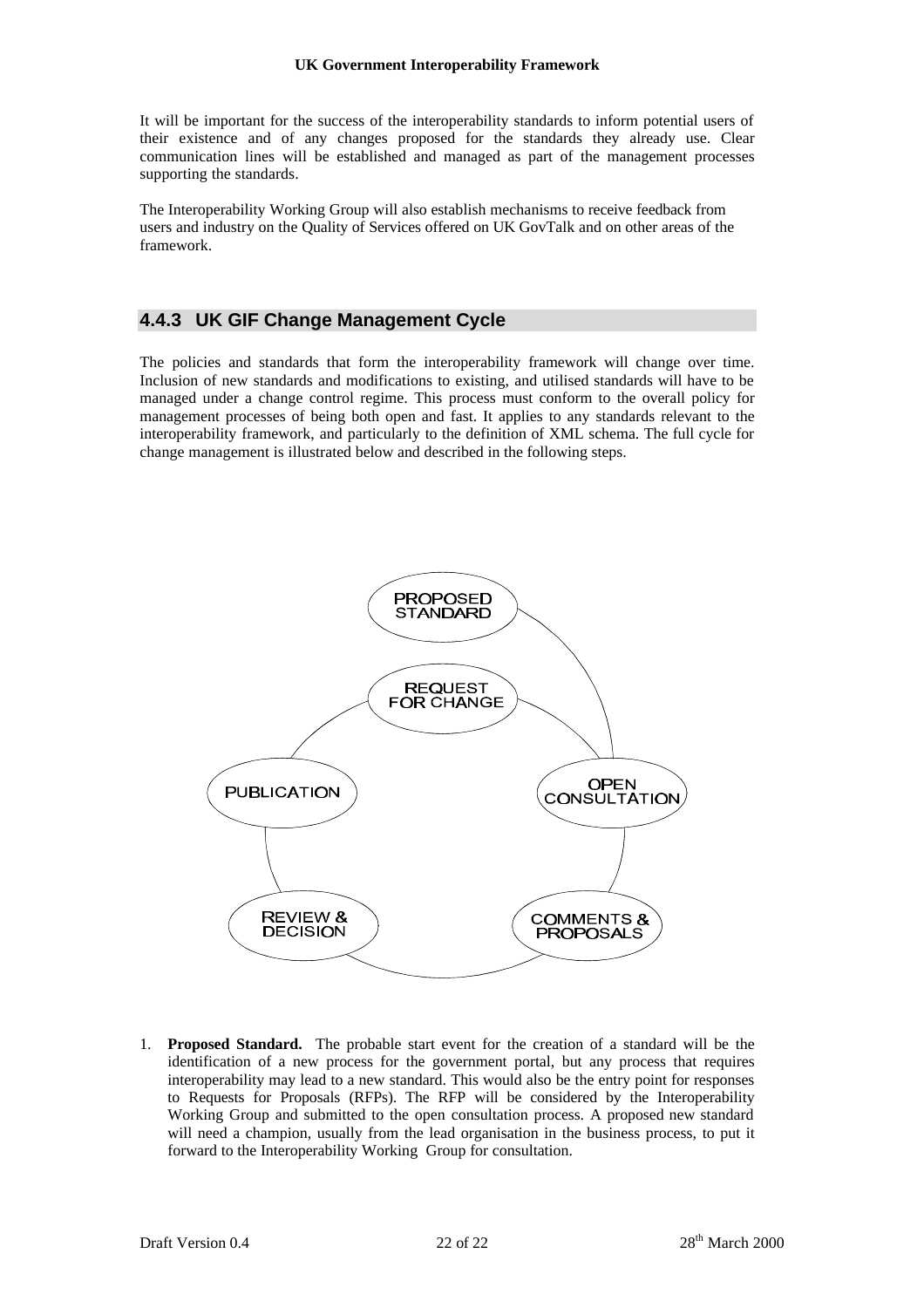It will be important for the success of the interoperability standards to inform potential users of their existence and of any changes proposed for the standards they already use. Clear communication lines will be established and managed as part of the management processes supporting the standards.

The Interoperability Working Group will also establish mechanisms to receive feedback from users and industry on the Quality of Services offered on UK GovTalk and on other areas of the framework.

### **4.4.3 UK GIF Change Management Cycle**

The policies and standards that form the interoperability framework will change over time. Inclusion of new standards and modifications to existing, and utilised standards will have to be managed under a change control regime. This process must conform to the overall policy for management processes of being both open and fast. It applies to any standards relevant to the interoperability framework, and particularly to the definition of XML schema. The full cycle for change management is illustrated below and described in the following steps.



1. **Proposed Standard.** The probable start event for the creation of a standard will be the identification of a new process for the government portal, but any process that requires interoperability may lead to a new standard. This would also be the entry point for responses to Requests for Proposals (RFPs). The RFP will be considered by the Interoperability Working Group and submitted to the open consultation process. A proposed new standard will need a champion, usually from the lead organisation in the business process, to put it forward to the Interoperability Working Group for consultation.